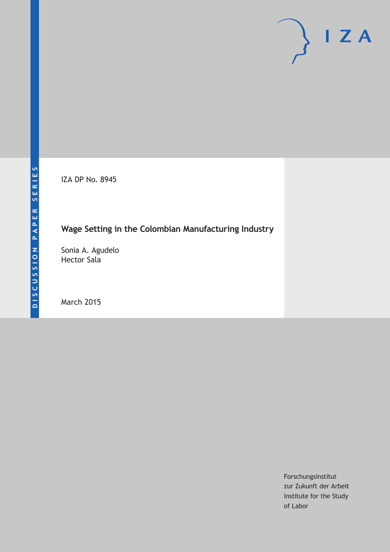IZA DP No. 8945

# **Wage Setting in the Colombian Manufacturing Industry**

Sonia A. Agudelo Hector Sala

March 2015

Forschungsinstitut zur Zukunft der Arbeit Institute for the Study of Labor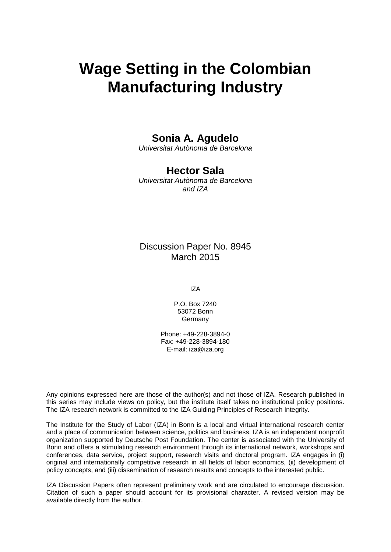# **Wage Setting in the Colombian Manufacturing Industry**

### **Sonia A. Agudelo**

*Universitat Autònoma de Barcelona*

## **Hector Sala**

*Universitat Autònoma de Barcelona and IZA*

### Discussion Paper No. 8945 March 2015

IZA

P.O. Box 7240 53072 Bonn **Germany** 

Phone: +49-228-3894-0 Fax: +49-228-3894-180 E-mail: iza@iza.org

Any opinions expressed here are those of the author(s) and not those of IZA. Research published in this series may include views on policy, but the institute itself takes no institutional policy positions. The IZA research network is committed to the IZA Guiding Principles of Research Integrity.

The Institute for the Study of Labor (IZA) in Bonn is a local and virtual international research center and a place of communication between science, politics and business. IZA is an independent nonprofit organization supported by Deutsche Post Foundation. The center is associated with the University of Bonn and offers a stimulating research environment through its international network, workshops and conferences, data service, project support, research visits and doctoral program. IZA engages in (i) original and internationally competitive research in all fields of labor economics, (ii) development of policy concepts, and (iii) dissemination of research results and concepts to the interested public.

<span id="page-1-0"></span>IZA Discussion Papers often represent preliminary work and are circulated to encourage discussion. Citation of such a paper should account for its provisional character. A revised version may be available directly from the author.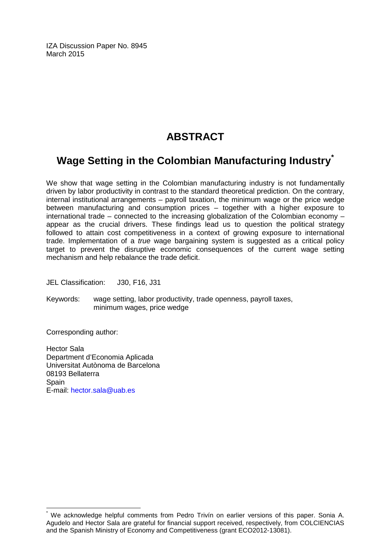IZA Discussion Paper No. 8945 March 2015

# **ABSTRACT**

# **Wage Setting in the Colombian Manufacturing Industry[\\*](#page-1-0)**

We show that wage setting in the Colombian manufacturing industry is not fundamentally driven by labor productivity in contrast to the standard theoretical prediction. On the contrary, internal institutional arrangements – payroll taxation, the minimum wage or the price wedge between manufacturing and consumption prices – together with a higher exposure to international trade – connected to the increasing globalization of the Colombian economy – appear as the crucial drivers. These findings lead us to question the political strategy followed to attain cost competitiveness in a context of growing exposure to international trade. Implementation of a *true* wage bargaining system is suggested as a critical policy target to prevent the disruptive economic consequences of the current wage setting mechanism and help rebalance the trade deficit.

JEL Classification: J30, F16, J31

Keywords: wage setting, labor productivity, trade openness, payroll taxes, minimum wages, price wedge

Corresponding author:

Hector Sala Department d'Economia Aplicada Universitat Autònoma de Barcelona 08193 Bellaterra Spain E-mail: [hector.sala@uab.es](mailto:hector.sala@uab.es)

We acknowledge helpful comments from Pedro Trivín on earlier versions of this paper. Sonia A. Agudelo and Hector Sala are grateful for financial support received, respectively, from COLCIENCIAS and the Spanish Ministry of Economy and Competitiveness (grant ECO2012-13081).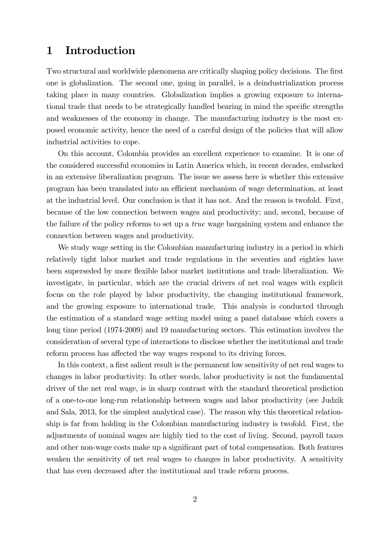### 1 Introduction

Two structural and worldwide phenomena are critically shaping policy decisions. The first one is globalization. The second one, going in parallel, is a deindustrialization process taking place in many countries. Globalization implies a growing exposure to international trade that needs to be strategically handled bearing in mind the specific strengths and weaknesses of the economy in change. The manufacturing industry is the most exposed economic activity, hence the need of a careful design of the policies that will allow industrial activities to cope.

On this account, Colombia provides an excellent experience to examine. It is one of the considered successful economies in Latin America which, in recent decades, embarked in an extensive liberalization program. The issue we assess here is whether this extensive program has been translated into an efficient mechanism of wage determination, at least at the industrial level. Our conclusion is that it has not. And the reason is twofold. First, because of the low connection between wages and productivity; and, second, because of the failure of the policy reforms to set up a true wage bargaining system and enhance the connection between wages and productivity.

We study wage setting in the Colombian manufacturing industry in a period in which relatively tight labor market and trade regulations in the seventies and eighties have been superseded by more flexible labor market institutions and trade liberalization. We investigate, in particular, which are the crucial drivers of net real wages with explicit focus on the role played by labor productivity, the changing institutional framework, and the growing exposure to international trade. This analysis is conducted through the estimation of a standard wage setting model using a panel database which covers a long time period (1974-2009) and 19 manufacturing sectors. This estimation involves the consideration of several type of interactions to disclose whether the institutional and trade reform process has affected the way wages respond to its driving forces.

In this context, a first salient result is the permanent low sensitivity of net real wages to changes in labor productivity. In other words, labor productivity is not the fundamental driver of the net real wage, is in sharp contrast with the standard theoretical prediction of a one-to-one long-run relationship between wages and labor productivity (see Judzik and Sala, 2013, for the simplest analytical case). The reason why this theoretical relationship is far from holding in the Colombian manufacturing industry is twofold. First, the adjustments of nominal wages are highly tied to the cost of living. Second, payroll taxes and other non-wage costs make up a significant part of total compensation. Both features weaken the sensitivity of net real wages to changes in labor productivity. A sensitivity that has even decreased after the institutional and trade reform process.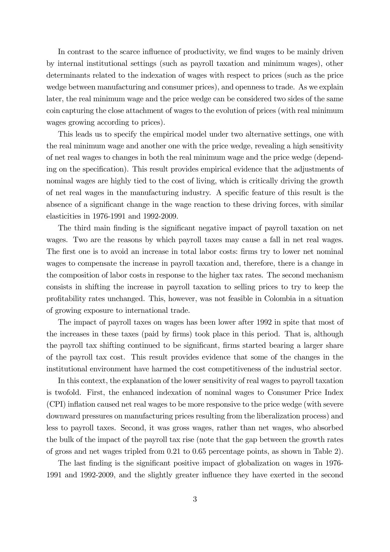In contrast to the scarce influence of productivity, we find wages to be mainly driven by internal institutional settings (such as payroll taxation and minimum wages), other determinants related to the indexation of wages with respect to prices (such as the price wedge between manufacturing and consumer prices), and openness to trade. As we explain later, the real minimum wage and the price wedge can be considered two sides of the same coin capturing the close attachment of wages to the evolution of prices (with real minimum wages growing according to prices).

This leads us to specify the empirical model under two alternative settings, one with the real minimum wage and another one with the price wedge, revealing a high sensitivity of net real wages to changes in both the real minimum wage and the price wedge (depending on the specification). This result provides empirical evidence that the adjustments of nominal wages are highly tied to the cost of living, which is critically driving the growth of net real wages in the manufacturing industry. A specific feature of this result is the absence of a significant change in the wage reaction to these driving forces, with similar elasticities in 1976-1991 and 1992-2009.

The third main finding is the significant negative impact of payroll taxation on net wages. Two are the reasons by which payroll taxes may cause a fall in net real wages. The first one is to avoid an increase in total labor costs: firms try to lower net nominal wages to compensate the increase in payroll taxation and, therefore, there is a change in the composition of labor costs in response to the higher tax rates. The second mechanism consists in shifting the increase in payroll taxation to selling prices to try to keep the profitability rates unchanged. This, however, was not feasible in Colombia in a situation of growing exposure to international trade.

The impact of payroll taxes on wages has been lower after 1992 in spite that most of the increases in these taxes (paid by firms) took place in this period. That is, although the payroll tax shifting continued to be significant, firms started bearing a larger share of the payroll tax cost. This result provides evidence that some of the changes in the institutional environment have harmed the cost competitiveness of the industrial sector.

In this context, the explanation of the lower sensitivity of real wages to payroll taxation is twofold. First, the enhanced indexation of nominal wages to Consumer Price Index (CPI) inflation caused net real wages to be more responsive to the price wedge (with severe downward pressures on manufacturing prices resulting from the liberalization process) and less to payroll taxes. Second, it was gross wages, rather than net wages, who absorbed the bulk of the impact of the payroll tax rise (note that the gap between the growth rates of gross and net wages tripled from 0.21 to 0.65 percentage points, as shown in Table 2).

The last finding is the significant positive impact of globalization on wages in 1976- 1991 and 1992-2009, and the slightly greater influence they have exerted in the second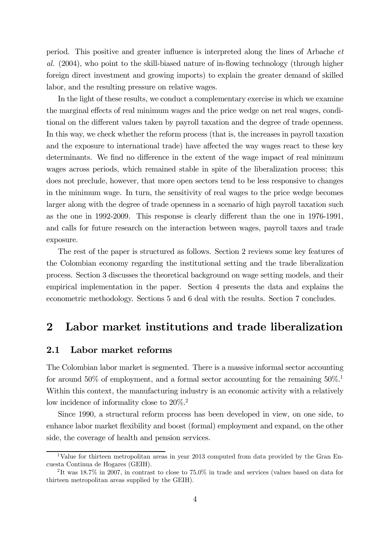period. This positive and greater influence is interpreted along the lines of Arbache et al. (2004), who point to the skill-biased nature of in-flowing technology (through higher foreign direct investment and growing imports) to explain the greater demand of skilled labor, and the resulting pressure on relative wages.

In the light of these results, we conduct a complementary exercise in which we examine the marginal effects of real minimum wages and the price wedge on net real wages, conditional on the different values taken by payroll taxation and the degree of trade openness. In this way, we check whether the reform process (that is, the increases in payroll taxation and the exposure to international trade) have affected the way wages react to these key determinants. We find no difference in the extent of the wage impact of real minimum wages across periods, which remained stable in spite of the liberalization process; this does not preclude, however, that more open sectors tend to be less responsive to changes in the minimum wage. In turn, the sensitivity of real wages to the price wedge becomes larger along with the degree of trade openness in a scenario of high payroll taxation such as the one in 1992-2009. This response is clearly different than the one in 1976-1991, and calls for future research on the interaction between wages, payroll taxes and trade exposure.

The rest of the paper is structured as follows. Section 2 reviews some key features of the Colombian economy regarding the institutional setting and the trade liberalization process. Section 3 discusses the theoretical background on wage setting models, and their empirical implementation in the paper. Section 4 presents the data and explains the econometric methodology. Sections 5 and 6 deal with the results. Section 7 concludes.

### 2 Labor market institutions and trade liberalization

#### 2.1 Labor market reforms

The Colombian labor market is segmented. There is a massive informal sector accounting for around 50% of employment, and a formal sector accounting for the remaining  $50\%$ .<sup>1</sup> Within this context, the manufacturing industry is an economic activity with a relatively low incidence of informality close to  $20\%$ .<sup>2</sup>

Since 1990, a structural reform process has been developed in view, on one side, to enhance labor market flexibility and boost (formal) employment and expand, on the other side, the coverage of health and pension services.

<sup>&</sup>lt;sup>1</sup>Value for thirteen metropolitan areas in year 2013 computed from data provided by the Gran Encuesta Continua de Hogares (GEIH).

<sup>2</sup> It was 18.7% in 2007, in contrast to close to 75.0% in trade and services (values based on data for thirteen metropolitan areas supplied by the GEIH).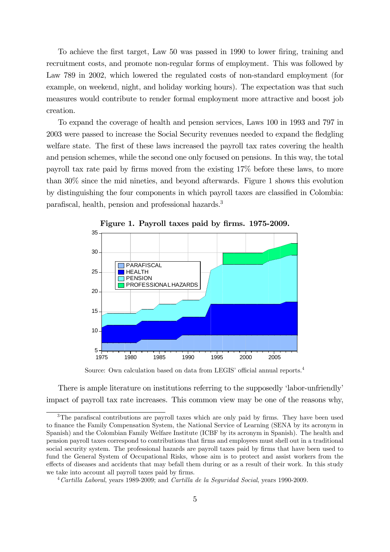To achieve the first target, Law 50 was passed in 1990 to lower firing, training and recruitment costs, and promote non-regular forms of employment. This was followed by Law 789 in 2002, which lowered the regulated costs of non-standard employment (for example, on weekend, night, and holiday working hours). The expectation was that such measures would contribute to render formal employment more attractive and boost job creation.

To expand the coverage of health and pension services, Laws 100 in 1993 and 797 in 2003 were passed to increase the Social Security revenues needed to expand the fledgling welfare state. The first of these laws increased the payroll tax rates covering the health and pension schemes, while the second one only focused on pensions. In this way, the total payroll tax rate paid by firms moved from the existing 17% before these laws, to more than 30% since the mid nineties, and beyond afterwards. Figure 1 shows this evolution by distinguishing the four components in which payroll taxes are classified in Colombia: parafiscal, health, pension and professional hazards.3



Figure 1. Payroll taxes paid by firms. 1975-2009.

Source: Own calculation based on data from LEGIS' official annual reports.4

There is ample literature on institutions referring to the supposedly 'labor-unfriendly' impact of payroll tax rate increases. This common view may be one of the reasons why,

<sup>&</sup>lt;sup>3</sup>The parafiscal contributions are payroll taxes which are only paid by firms. They have been used to finance the Family Compensation System, the National Service of Learning (SENA by its acronym in Spanish) and the Colombian Family Welfare Institute (ICBF by its acronym in Spanish). The health and pension payroll taxes correspond to contributions that firms and employees must shell out in a traditional social security system. The professional hazards are payroll taxes paid by firms that have been used to fund the General System of Occupational Risks, whose aim is to protect and assist workers from the effects of diseases and accidents that may befall them during or as a result of their work. In this study we take into account all payroll taxes paid by firms.

 $4$  Cartilla Laboral, years 1989-2009; and Cartilla de la Seguridad Social, years 1990-2009.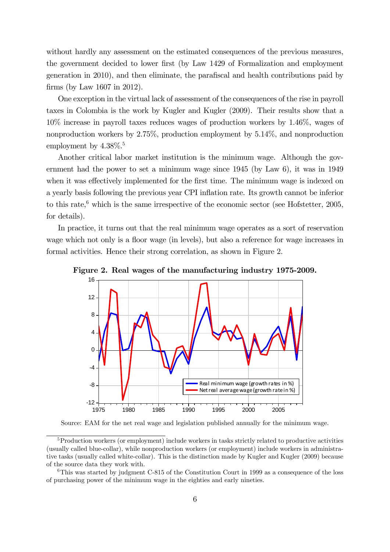without hardly any assessment on the estimated consequences of the previous measures, the government decided to lower first (by Law 1429 of Formalization and employment generation in 2010), and then eliminate, the parafiscal and health contributions paid by firms (by Law 1607 in 2012).

One exception in the virtual lack of assessment of the consequences of the rise in payroll taxes in Colombia is the work by Kugler and Kugler (2009). Their results show that a 10% increase in payroll taxes reduces wages of production workers by 1.46%, wages of nonproduction workers by 2.75%, production employment by 5.14%, and nonproduction employment by  $4.38\%$ <sup>5</sup>

Another critical labor market institution is the minimum wage. Although the government had the power to set a minimum wage since 1945 (by Law 6), it was in 1949 when it was effectively implemented for the first time. The minimum wage is indexed on a yearly basis following the previous year CPI inflation rate. Its growth cannot be inferior to this rate, $6$  which is the same irrespective of the economic sector (see Hofstetter, 2005, for details).

In practice, it turns out that the real minimum wage operates as a sort of reservation wage which not only is a floor wage (in levels), but also a reference for wage increases in formal activities. Hence their strong correlation, as shown in Figure 2.



Figure 2. Real wages of the manufacturing industry 1975-2009.

Source: EAM for the net real wage and legislation published annually for the minimum wage.

<sup>&</sup>lt;sup>5</sup>Production workers (or employment) include workers in tasks strictly related to productive activities (usually called blue-collar), while nonproduction workers (or employment) include workers in administrative tasks (usually called white-collar). This is the distinction made by Kugler and Kugler (2009) because of the source data they work with.

<sup>6</sup>This was started by judgment C-815 of the Constitution Court in 1999 as a consequence of the loss of purchasing power of the minimum wage in the eighties and early nineties.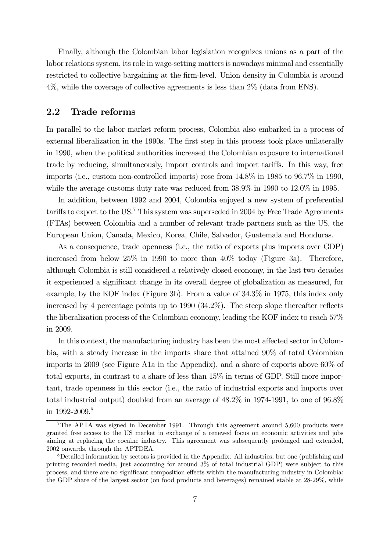Finally, although the Colombian labor legislation recognizes unions as a part of the labor relations system, its role in wage-setting matters is nowadays minimal and essentially restricted to collective bargaining at the firm-level. Union density in Colombia is around 4%, while the coverage of collective agreements is less than 2% (data from ENS).

### 2.2 Trade reforms

In parallel to the labor market reform process, Colombia also embarked in a process of external liberalization in the 1990s. The first step in this process took place unilaterally in 1990, when the political authorities increased the Colombian exposure to international trade by reducing, simultaneously, import controls and import tariffs. In this way, free imports (i.e., custom non-controlled imports) rose from 14.8% in 1985 to 96.7% in 1990, while the average customs duty rate was reduced from 38.9% in 1990 to 12.0% in 1995.

In addition, between 1992 and 2004, Colombia enjoyed a new system of preferential tariffs to export to the US.7 This system was superseded in 2004 by Free Trade Agreements (FTAs) between Colombia and a number of relevant trade partners such as the US, the European Union, Canada, Mexico, Korea, Chile, Salvador, Guatemala and Honduras.

As a consequence, trade openness (i.e., the ratio of exports plus imports over GDP) increased from below 25% in 1990 to more than 40% today (Figure 3a). Therefore, although Colombia is still considered a relatively closed economy, in the last two decades it experienced a significant change in its overall degree of globalization as measured, for example, by the KOF index (Figure 3b). From a value of 34.3% in 1975, this index only increased by 4 percentage points up to 1990 (34.2%). The steep slope thereafter reflects the liberalization process of the Colombian economy, leading the KOF index to reach 57% in 2009.

In this context, the manufacturing industry has been the most affected sector in Colombia, with a steady increase in the imports share that attained 90% of total Colombian imports in 2009 (see Figure A1a in the Appendix), and a share of exports above 60% of total exports, in contrast to a share of less than 15% in terms of GDP. Still more important, trade openness in this sector (i.e., the ratio of industrial exports and imports over total industrial output) doubled from an average of 48.2% in 1974-1991, to one of 96.8% in 1992-2009.<sup>8</sup>

<sup>7</sup>The APTA was signed in December 1991. Through this agreement around 5,600 products were granted free access to the US market in exchange of a renewed focus on economic activities and jobs aiming at replacing the cocaine industry. This agreement was subsequently prolonged and extended, 2002 onwards, through the APTDEA.

<sup>8</sup>Detailed information by sectors is provided in the Appendix. All industries, but one (publishing and printing recorded media, just accounting for around 3% of total industrial GDP) were subject to this process, and there are no significant composition effects within the manufacturing industry in Colombia: the GDP share of the largest sector (on food products and beverages) remained stable at 28-29%, while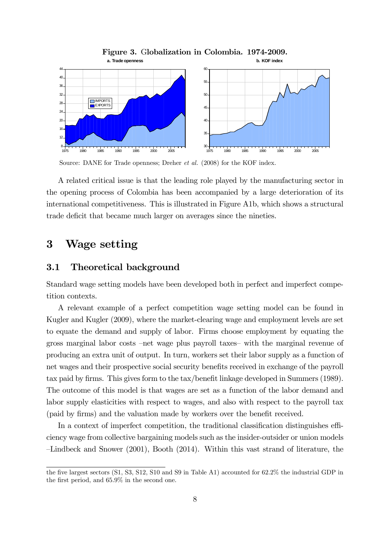

Figure 3. Globalization in Colombia. 1974-2009.

Source: DANE for Trade openness; Dreher et al. (2008) for the KOF index.

A related critical issue is that the leading role played by the manufacturing sector in the opening process of Colombia has been accompanied by a large deterioration of its international competitiveness. This is illustrated in Figure A1b, which shows a structural trade deficit that became much larger on averages since the nineties.

# 3 Wage setting

### 3.1 Theoretical background

Standard wage setting models have been developed both in perfect and imperfect competition contexts.

A relevant example of a perfect competition wage setting model can be found in Kugler and Kugler (2009), where the market-clearing wage and employment levels are set to equate the demand and supply of labor. Firms choose employment by equating the gross marginal labor costs —net wage plus payroll taxes— with the marginal revenue of producing an extra unit of output. In turn, workers set their labor supply as a function of net wages and their prospective social security benefits received in exchange of the payroll tax paid by firms. This gives form to the tax/benefit linkage developed in Summers (1989). The outcome of this model is that wages are set as a function of the labor demand and labor supply elasticities with respect to wages, and also with respect to the payroll tax (paid by firms) and the valuation made by workers over the benefit received.

In a context of imperfect competition, the traditional classification distinguishes efficiency wage from collective bargaining models such as the insider-outsider or union models —Lindbeck and Snower (2001), Booth (2014). Within this vast strand of literature, the

the five largest sectors (S1, S3, S12, S10 and S9 in Table A1) accounted for 62.2% the industrial GDP in the first period, and 65.9% in the second one.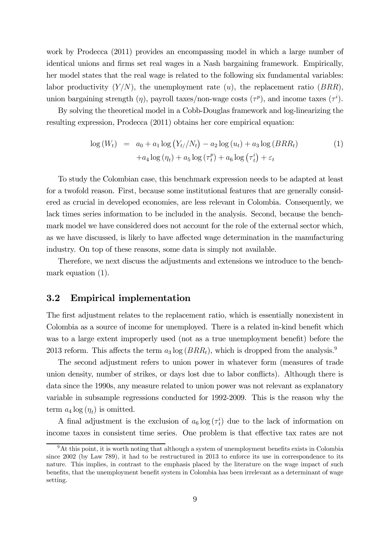work by Prodecca (2011) provides an encompassing model in which a large number of identical unions and firms set real wages in a Nash bargaining framework. Empirically, her model states that the real wage is related to the following six fundamental variables: labor productivity  $(Y/N)$ , the unemployment rate  $(u)$ , the replacement ratio  $(BRR)$ , union bargaining strength  $(\eta)$ , payroll taxes/non-wage costs  $(\tau^p)$ , and income taxes  $(\tau^i)$ .

By solving the theoretical model in a Cobb-Douglas framework and log-linearizing the resulting expression, Prodecca (2011) obtains her core empirical equation:

$$
\log\left(W_t\right) = a_0 + a_1 \log\left(Y_t / N_t\right) - a_2 \log\left(u_t\right) + a_3 \log\left(BRR_t\right)
$$
\n
$$
+ a_4 \log\left(\eta_t\right) + a_5 \log\left(\tau_t^p\right) + a_6 \log\left(\tau_t^i\right) + \varepsilon_t
$$
\n(1)

To study the Colombian case, this benchmark expression needs to be adapted at least for a twofold reason. First, because some institutional features that are generally considered as crucial in developed economies, are less relevant in Colombia. Consequently, we lack times series information to be included in the analysis. Second, because the benchmark model we have considered does not account for the role of the external sector which, as we have discussed, is likely to have affected wage determination in the manufacturing industry. On top of these reasons, some data is simply not available.

Therefore, we next discuss the adjustments and extensions we introduce to the benchmark equation (1).

#### 3.2 Empirical implementation

The first adjustment relates to the replacement ratio, which is essentially nonexistent in Colombia as a source of income for unemployed. There is a related in-kind benefit which was to a large extent improperly used (not as a true unemployment benefit) before the 2013 reform. This affects the term  $a_3 \log(BRR_t)$ , which is dropped from the analysis.<sup>9</sup>

The second adjustment refers to union power in whatever form (measures of trade union density, number of strikes, or days lost due to labor conflicts). Although there is data since the 1990s, any measure related to union power was not relevant as explanatory variable in subsample regressions conducted for 1992-2009. This is the reason why the term  $a_4 \log(\eta_t)$  is omitted.

A final adjustment is the exclusion of  $a_6 \log(\tau_i^i)$  due to the lack of information on income taxes in consistent time series. One problem is that effective tax rates are not

<sup>&</sup>lt;sup>9</sup>At this point, it is worth noting that although a system of unemployment benefits exists in Colombia since 2002 (by Law 789), it had to be restructured in 2013 to enforce its use in correspondence to its nature. This implies, in contrast to the emphasis placed by the literature on the wage impact of such benefits, that the unemployment benefit system in Colombia has been irrelevant as a determinant of wage setting.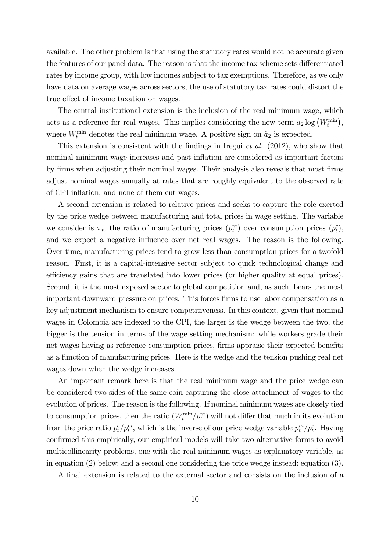available. The other problem is that using the statutory rates would not be accurate given the features of our panel data. The reason is that the income tax scheme sets differentiated rates by income group, with low incomes subject to tax exemptions. Therefore, as we only have data on average wages across sectors, the use of statutory tax rates could distort the true effect of income taxation on wages.

The central institutional extension is the inclusion of the real minimum wage, which acts as a reference for real wages. This implies considering the new term  $a_2 \log (W_t^{\text{min}})$ , where  $W_t^{\min}$  denotes the real minimum wage. A positive sign on  $\hat{a}_2$  is expected.

This extension is consistent with the findings in Iregui et al. (2012), who show that nominal minimum wage increases and past inflation are considered as important factors by firms when adjusting their nominal wages. Their analysis also reveals that most firms adjust nominal wages annually at rates that are roughly equivalent to the observed rate of CPI inflation, and none of them cut wages.

A second extension is related to relative prices and seeks to capture the role exerted by the price wedge between manufacturing and total prices in wage setting. The variable we consider is  $\pi_t$ , the ratio of manufacturing prices  $(p_t^m)$  over consumption prices  $(p_t^c)$ , and we expect a negative influence over net real wages. The reason is the following. Over time, manufacturing prices tend to grow less than consumption prices for a twofold reason. First, it is a capital-intensive sector subject to quick technological change and efficiency gains that are translated into lower prices (or higher quality at equal prices). Second, it is the most exposed sector to global competition and, as such, bears the most important downward pressure on prices. This forces firms to use labor compensation as a key adjustment mechanism to ensure competitiveness. In this context, given that nominal wages in Colombia are indexed to the CPI, the larger is the wedge between the two, the bigger is the tension in terms of the wage setting mechanism: while workers grade their net wages having as reference consumption prices, firms appraise their expected benefits as a function of manufacturing prices. Here is the wedge and the tension pushing real net wages down when the wedge increases.

An important remark here is that the real minimum wage and the price wedge can be considered two sides of the same coin capturing the close attachment of wages to the evolution of prices. The reason is the following. If nominal minimum wages are closely tied to consumption prices, then the ratio  $(W_t^{\min}/p_t^m)$  will not differ that much in its evolution from the price ratio  $p_t^c/p_t^m$ , which is the inverse of our price wedge variable  $p_t^m/p_t^c$ . Having confirmed this empirically, our empirical models will take two alternative forms to avoid multicollinearity problems, one with the real minimum wages as explanatory variable, as in equation (2) below; and a second one considering the price wedge instead: equation (3).

A final extension is related to the external sector and consists on the inclusion of a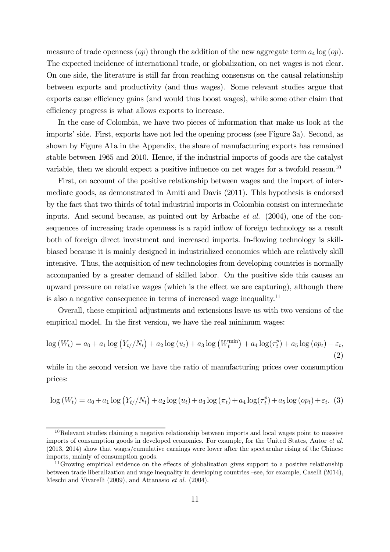measure of trade openness  $(op)$  through the addition of the new aggregate term  $a_4 \log (op)$ . The expected incidence of international trade, or globalization, on net wages is not clear. On one side, the literature is still far from reaching consensus on the causal relationship between exports and productivity (and thus wages). Some relevant studies argue that exports cause efficiency gains (and would thus boost wages), while some other claim that efficiency progress is what allows exports to increase.

In the case of Colombia, we have two pieces of information that make us look at the imports' side. First, exports have not led the opening process (see Figure 3a). Second, as shown by Figure A1a in the Appendix, the share of manufacturing exports has remained stable between 1965 and 2010. Hence, if the industrial imports of goods are the catalyst variable, then we should expect a positive influence on net wages for a twofold reason.<sup>10</sup>

First, on account of the positive relationship between wages and the import of intermediate goods, as demonstrated in Amiti and Davis (2011). This hypothesis is endorsed by the fact that two thirds of total industrial imports in Colombia consist on intermediate inputs. And second because, as pointed out by Arbache et al. (2004), one of the consequences of increasing trade openness is a rapid inflow of foreign technology as a result both of foreign direct investment and increased imports. In-flowing technology is skillbiased because it is mainly designed in industrialized economies which are relatively skill intensive. Thus, the acquisition of new technologies from developing countries is normally accompanied by a greater demand of skilled labor. On the positive side this causes an upward pressure on relative wages (which is the effect we are capturing), although there is also a negative consequence in terms of increased wage inequality.11

Overall, these empirical adjustments and extensions leave us with two versions of the empirical model. In the first version, we have the real minimum wages:

$$
\log(W_t) = a_0 + a_1 \log(Y_{t/}/N_t) + a_2 \log(u_t) + a_3 \log(W_t^{\min}) + a_4 \log(\tau_t^p) + a_5 \log(\rho p_t) + \varepsilon_t,
$$
\n(2)

while in the second version we have the ratio of manufacturing prices over consumption prices:

$$
\log(W_t) = a_0 + a_1 \log(Y_t / N_t) + a_2 \log(u_t) + a_3 \log(\pi_t) + a_4 \log(\tau_t^p) + a_5 \log(op_t) + \varepsilon_t.
$$
 (3)

 $10\text{Relevant studies claiming a negative relationship between imports and local wages point to massive.}$ imports of consumption goods in developed economies. For example, for the United States, Autor et al. (2013, 2014) show that wages/cumulative earnings were lower after the spectacular rising of the Chinese imports, mainly of consumption goods.

<sup>&</sup>lt;sup>11</sup>Growing empirical evidence on the effects of globalization gives support to a positive relationship between trade liberalization and wage inequality in developing countries —see, for example, Caselli (2014), Meschi and Vivarelli (2009), and Attanasio et al. (2004).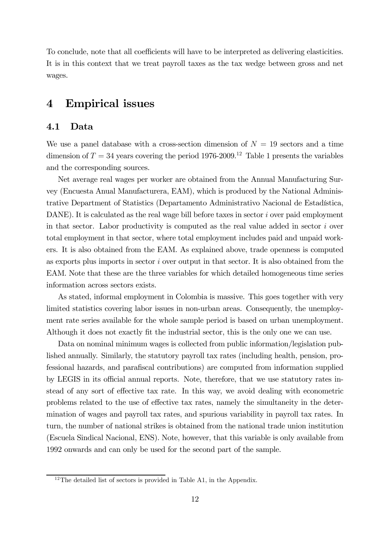To conclude, note that all coefficients will have to be interpreted as delivering elasticities. It is in this context that we treat payroll taxes as the tax wedge between gross and net wages.

### 4 Empirical issues

### 4.1 Data

We use a panel database with a cross-section dimension of  $N = 19$  sectors and a time dimension of  $T = 34$  years covering the period 1976-2009.<sup>12</sup> Table 1 presents the variables and the corresponding sources.

Net average real wages per worker are obtained from the Annual Manufacturing Survey (Encuesta Anual Manufacturera, EAM), which is produced by the National Administrative Department of Statistics (Departamento Administrativo Nacional de Estadística, DANE). It is calculated as the real wage bill before taxes in sector  $i$  over paid employment in that sector. Labor productivity is computed as the real value added in sector  $i$  over total employment in that sector, where total employment includes paid and unpaid workers. It is also obtained from the EAM. As explained above, trade openness is computed as exports plus imports in sector  $i$  over output in that sector. It is also obtained from the EAM. Note that these are the three variables for which detailed homogeneous time series information across sectors exists.

As stated, informal employment in Colombia is massive. This goes together with very limited statistics covering labor issues in non-urban areas. Consequently, the unemployment rate series available for the whole sample period is based on urban unemployment. Although it does not exactly fit the industrial sector, this is the only one we can use.

Data on nominal minimum wages is collected from public information/legislation published annually. Similarly, the statutory payroll tax rates (including health, pension, professional hazards, and parafiscal contributions) are computed from information supplied by LEGIS in its official annual reports. Note, therefore, that we use statutory rates instead of any sort of effective tax rate. In this way, we avoid dealing with econometric problems related to the use of effective tax rates, namely the simultaneity in the determination of wages and payroll tax rates, and spurious variability in payroll tax rates. In turn, the number of national strikes is obtained from the national trade union institution (Escuela Sindical Nacional, ENS). Note, however, that this variable is only available from 1992 onwards and can only be used for the second part of the sample.

 $12$ The detailed list of sectors is provided in Table A1, in the Appendix.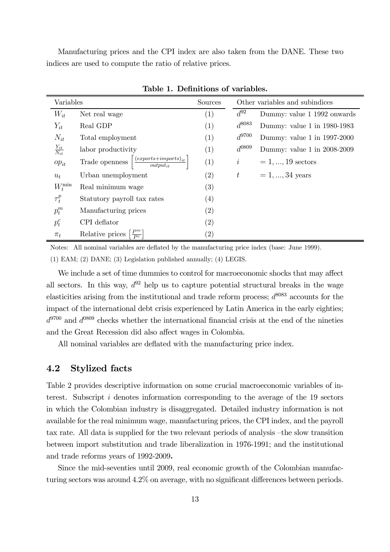Manufacturing prices and the CPI index are also taken from the DANE. These two indices are used to compute the ratio of relative prices.

| Variables               |                                                                               | Sources           |                               | Other variables and subindices |
|-------------------------|-------------------------------------------------------------------------------|-------------------|-------------------------------|--------------------------------|
| $W_{it}$                | Net real wage                                                                 | (1)               | $d^{92}$                      | Dummy: value 1 1992 onwards    |
| $Y_{it}$                | Real GDP                                                                      | (1)               | $d^{8083}$                    | Dummy: value 1 in 1980-1983    |
| $N_{it}$                | Total employment                                                              | (1)               | $d^{9700}$                    | Dummy: value 1 in 1997-2000    |
| $\frac{Y_{it}}{N_{it}}$ | labor productivity                                                            | (1)               | $d^{0809}$                    | Dummy: value 1 in 2008-2009    |
| $op_{it}$               | $\left[ \frac{(exports+imports)_{it}}{output_{it}} \right]$<br>Trade openness | (1)               | $\dot{i}$                     | $= 1, , 19$ sectors            |
| $u_t$                   | Urban unemployment                                                            | (2)               | $t_{\scriptscriptstyle\perp}$ | $= 1, , 34$ years              |
| $W_t^{\min}$            | Real minimum wage                                                             | (3)               |                               |                                |
| $\tau_t^p$              | Statutory payroll tax rates                                                   | (4)               |                               |                                |
| $p_t^m$                 | Manufacturing prices                                                          | (2)               |                               |                                |
| $p_t^c$                 | CPI deflator                                                                  | (2)               |                               |                                |
| $\pi_t$                 | $\frac{P^m}{P^c}$<br>Relative prices                                          | $\left( 2\right)$ |                               |                                |

Table 1. Definitions of variables.

Notes: All nominal variables are deflated by the manufacturing price index (base: June 1999).

(1) EAM; (2) DANE; (3) Legislation published annually; (4) LEGIS.

We include a set of time dummies to control for macroeconomic shocks that may affect all sectors. In this way,  $d^{92}$  help us to capture potential structural breaks in the wage elasticities arising from the institutional and trade reform process;  $d^{8083}$  accounts for the impact of the international debt crisis experienced by Latin America in the early eighties;  $d^{9700}$  and  $d^{0809}$  checks whether the international financial crisis at the end of the nineties and the Great Recession did also affect wages in Colombia.

All nominal variables are deflated with the manufacturing price index.

#### 4.2 Stylized facts

Table 2 provides descriptive information on some crucial macroeconomic variables of interest. Subscript  $i$  denotes information corresponding to the average of the 19 sectors in which the Colombian industry is disaggregated. Detailed industry information is not available for the real minimum wage, manufacturing prices, the CPI index, and the payroll tax rate. All data is supplied for the two relevant periods of analysis —the slow transition between import substitution and trade liberalization in 1976-1991; and the institutional and trade reforms years of 1992-2009.

Since the mid-seventies until 2009, real economic growth of the Colombian manufacturing sectors was around 4.2% on average, with no significant differences between periods.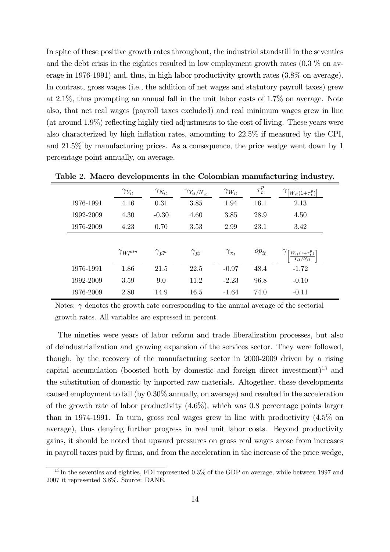In spite of these positive growth rates throughout, the industrial standstill in the seventies and the debt crisis in the eighties resulted in low employment growth rates  $(0.3\%$  on average in 1976-1991) and, thus, in high labor productivity growth rates (3.8% on average). In contrast, gross wages (i.e., the addition of net wages and statutory payroll taxes) grew at 2.1%, thus prompting an annual fall in the unit labor costs of 1.7% on average. Note also, that net real wages (payroll taxes excluded) and real minimum wages grew in line (at around 1.9%) reflecting highly tied adjustments to the cost of living. These years were also characterized by high inflation rates, amounting to 22.5% if measured by the CPI, and 21.5% by manufacturing prices. As a consequence, the price wedge went down by 1 percentage point annually, on average.

|           | $\gamma_{Y_{it}}$    | $\gamma_{N_{it}}$ | $\gamma_{Y_{it}/N_{it}}$ | $\gamma_{W_{it}}$ | $\tau_t^p$ | $\gamma_{[W_{it}(1+\tau^p_t)]}$         |
|-----------|----------------------|-------------------|--------------------------|-------------------|------------|-----------------------------------------|
| 1976-1991 | 4.16                 | 0.31              | 3.85                     | 1.94              | 16.1       | 2.13                                    |
| 1992-2009 | 4.30                 | $-0.30$           | 4.60                     | 3.85              | 28.9       | 4.50                                    |
| 1976-2009 | 4.23                 | 0.70              | 3.53                     | 2.99              | 23.1       | 3.42                                    |
|           |                      |                   |                          |                   |            |                                         |
|           | $\gamma_{W_t^{min}}$ | $\gamma_{p_t^m}$  | $\gamma_{p_t^c}$         | $\gamma_{\pi_t}$  | $op_{it}$  | $W_{it}(1+\tau_t^p)$<br>$Y_{it}/N_{it}$ |
| 1976-1991 | 1.86                 | 21.5              | 22.5                     | $-0.97$           | 48.4       | $-1.72$                                 |
| 1992-2009 | 3.59                 | 9.0               | 11.2                     | $-2.23$           | 96.8       | $-0.10$                                 |
| 1976-2009 | 2.80                 | 14.9              | 16.5                     | $-1.64$           | 74.0       | $-0.11$                                 |

Table 2. Macro developments in the Colombian manufacturing industry.

Notes:  $\gamma$  denotes the growth rate corresponding to the annual average of the sectorial growth rates. All variables are expressed in percent.

The nineties were years of labor reform and trade liberalization processes, but also of deindustrialization and growing expansion of the services sector. They were followed, though, by the recovery of the manufacturing sector in 2000-2009 driven by a rising capital accumulation (boosted both by domestic and foreign direct investment)<sup>13</sup> and the substitution of domestic by imported raw materials. Altogether, these developments caused employment to fall (by 0.30% annually, on average) and resulted in the acceleration of the growth rate of labor productivity  $(4.6\%)$ , which was 0.8 percentage points larger than in 1974-1991. In turn, gross real wages grew in line with productivity (4.5% on average), thus denying further progress in real unit labor costs. Beyond productivity gains, it should be noted that upward pressures on gross real wages arose from increases in payroll taxes paid by firms, and from the acceleration in the increase of the price wedge,

<sup>&</sup>lt;sup>13</sup>In the seventies and eighties, FDI represented 0.3% of the GDP on average, while between 1997 and 2007 it represented 3.8%. Source: DANE.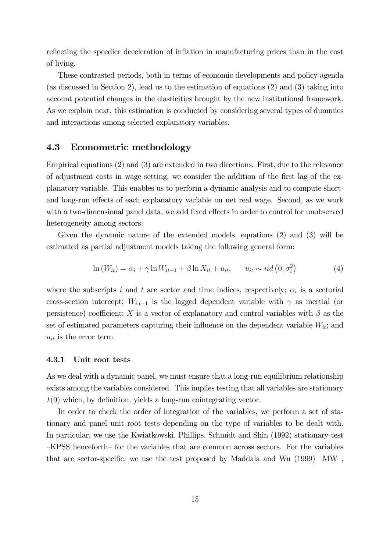reflecting the speedier deceleration of inflation in manufacturing prices than in the cost of living.

These contrasted periods, both in terms of economic developments and policy agenda (as discussed in Section 2), lead us to the estimation of equations (2) and (3) taking into account potential changes in the elasticities brought by the new institutional framework. As we explain next, this estimation is conducted by considering several types of dummies and interactions among selected explanatory variables.

### 4.3 Econometric methodology

Empirical equations (2) and (3) are extended in two directions. First, due to the relevance of adjustment costs in wage setting, we consider the addition of the first lag of the explanatory variable. This enables us to perform a dynamic analysis and to compute shortand long-run effects of each explanatory variable on net real wage. Second, as we work with a two-dimensional panel data, we add fixed effects in order to control for unobserved heterogeneity among sectors.

Given the dynamic nature of the extended models, equations (2) and (3) will be estimated as partial adjustment models taking the following general form:

$$
\ln(W_{it}) = \alpha_i + \gamma \ln W_{it-1} + \beta \ln X_{it} + u_{it}, \qquad u_{it} \sim iid\left(0, \sigma_i^2\right) \tag{4}
$$

where the subscripts i and t are sector and time indices, respectively;  $\alpha_i$  is a sectorial cross-section intercept;  $W_{i,t-1}$  is the lagged dependent variable with  $\gamma$  as inertial (or persistence) coefficient; X is a vector of explanatory and control variables with  $\beta$  as the set of estimated parameters capturing their influence on the dependent variable  $W_{it}$ ; and  $u_{it}$  is the error term.

#### 4.3.1 Unit root tests

As we deal with a dynamic panel, we must ensure that a long-run equilibrium relationship exists among the variables considered. This implies testing that all variables are stationary  $I(0)$  which, by definition, yields a long-run cointegrating vector.

In order to check the order of integration of the variables, we perform a set of stationary and panel unit root tests depending on the type of variables to be dealt with. In particular, we use the Kwiatkowski, Phillips, Schmidt and Shin (1992) stationary-test —KPSS henceforth— for the variables that are common across sectors. For the variables that are sector-specific, we use the test proposed by Maddala and Wu (1999) —MW—,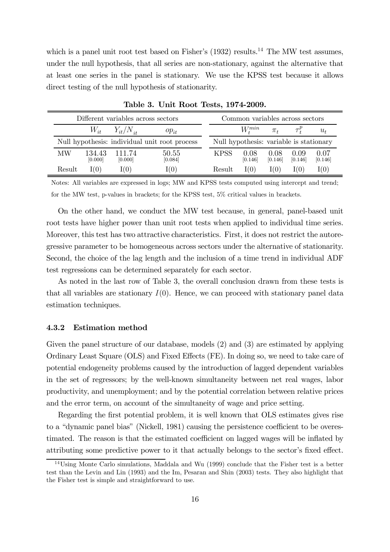which is a panel unit root test based on Fisher's  $(1932)$  results.<sup>14</sup> The MW test assumes, under the null hypothesis, that all series are non-stationary, against the alternative that at least one series in the panel is stationary. We use the KPSS test because it allows direct testing of the null hypothesis of stationarity.

| Different variables across sectors            |                   |                          |                  |                                         | Common variables across sectors |                 |                 |                 |  |  |
|-----------------------------------------------|-------------------|--------------------------|------------------|-----------------------------------------|---------------------------------|-----------------|-----------------|-----------------|--|--|
|                                               |                   | $W_{it}$ $Y_{it}/N_{it}$ | $op_{it}$        |                                         | $W^{min}_*$                     | $\pi_{t}$       |                 | $u_t$           |  |  |
| Null hypothesis: individual unit root process |                   |                          |                  | Null hypothesis: variable is stationary |                                 |                 |                 |                 |  |  |
| МW                                            | 134.43<br>[0.000] | 111.74<br>[0.000]        | 50.55<br>[0.084] | <b>KPSS</b>                             | 0.08<br>[0.146]                 | 0.08<br>[0.146] | 0.09<br>[0.146] | 0.07<br>[0.146] |  |  |
| Result                                        | I(0)              | I(0)                     | I(0)             | Result                                  | I(0)                            | I(0)            | I(0)            | I(0)            |  |  |

Table 3. Unit Root Tests, 1974-2009.

Notes: All variables are expressed in logs; MW and KPSS tests computed using intercept and trend; for the MW test, p-values in brackets; for the KPSS test, 5% critical values in brackets.

On the other hand, we conduct the MW test because, in general, panel-based unit root tests have higher power than unit root tests when applied to individual time series. Moreover, this test has two attractive characteristics. First, it does not restrict the autoregressive parameter to be homogeneous across sectors under the alternative of stationarity. Second, the choice of the lag length and the inclusion of a time trend in individual ADF test regressions can be determined separately for each sector.

As noted in the last row of Table 3, the overall conclusion drawn from these tests is that all variables are stationary  $I(0)$ . Hence, we can proceed with stationary panel data estimation techniques.

#### 4.3.2 Estimation method

Given the panel structure of our database, models (2) and (3) are estimated by applying Ordinary Least Square (OLS) and Fixed Effects (FE). In doing so, we need to take care of potential endogeneity problems caused by the introduction of lagged dependent variables in the set of regressors; by the well-known simultaneity between net real wages, labor productivity, and unemployment; and by the potential correlation between relative prices and the error term, on account of the simultaneity of wage and price setting.

Regarding the first potential problem, it is well known that OLS estimates gives rise to a "dynamic panel bias" (Nickell, 1981) causing the persistence coefficient to be overestimated. The reason is that the estimated coefficient on lagged wages will be inflated by attributing some predictive power to it that actually belongs to the sector's fixed effect.

 $14$ Using Monte Carlo simulations, Maddala and Wu (1999) conclude that the Fisher test is a better test than the Levin and Lin (1993) and the Im, Pesaran and Shin (2003) tests. They also highlight that the Fisher test is simple and straightforward to use.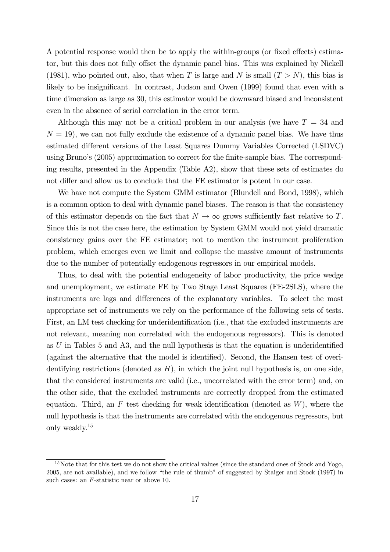A potential response would then be to apply the within-groups (or fixed effects) estimator, but this does not fully offset the dynamic panel bias. This was explained by Nickell (1981), who pointed out, also, that when T is large and N is small  $(T > N)$ , this bias is likely to be insignificant. In contrast, Judson and Owen (1999) found that even with a time dimension as large as 30, this estimator would be downward biased and inconsistent even in the absence of serial correlation in the error term.

Although this may not be a critical problem in our analysis (we have  $T = 34$  and  $N = 19$ , we can not fully exclude the existence of a dynamic panel bias. We have thus estimated different versions of the Least Squares Dummy Variables Corrected (LSDVC) using Bruno's (2005) approximation to correct for the finite-sample bias. The corresponding results, presented in the Appendix (Table A2), show that these sets of estimates do not differ and allow us to conclude that the FE estimator is potent in our case.

We have not compute the System GMM estimator (Blundell and Bond, 1998), which is a common option to deal with dynamic panel biases. The reason is that the consistency of this estimator depends on the fact that  $N \to \infty$  grows sufficiently fast relative to T. Since this is not the case here, the estimation by System GMM would not yield dramatic consistency gains over the FE estimator; not to mention the instrument proliferation problem, which emerges even we limit and collapse the massive amount of instruments due to the number of potentially endogenous regressors in our empirical models.

Thus, to deal with the potential endogeneity of labor productivity, the price wedge and unemployment, we estimate FE by Two Stage Least Squares (FE-2SLS), where the instruments are lags and differences of the explanatory variables. To select the most appropriate set of instruments we rely on the performance of the following sets of tests. First, an LM test checking for underidentification (i.e., that the excluded instruments are not relevant, meaning non correlated with the endogenous regressors). This is denoted as  $U$  in Tables 5 and A3, and the null hypothesis is that the equation is underidentified (against the alternative that the model is identified). Second, the Hansen test of overidentifying restrictions (denoted as  $H$ ), in which the joint null hypothesis is, on one side, that the considered instruments are valid (i.e., uncorrelated with the error term) and, on the other side, that the excluded instruments are correctly dropped from the estimated equation. Third, an  $F$  test checking for weak identification (denoted as  $W$ ), where the null hypothesis is that the instruments are correlated with the endogenous regressors, but only weakly.15

<sup>&</sup>lt;sup>15</sup>Note that for this test we do not show the critical values (since the standard ones of Stock and Yogo, 2005, are not available), and we follow "the rule of thumb" of suggested by Staiger and Stock (1997) in such cases: an  $F$ -statistic near or above 10.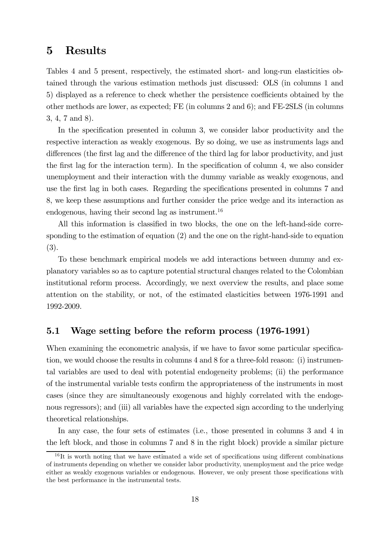### 5 Results

Tables 4 and 5 present, respectively, the estimated short- and long-run elasticities obtained through the various estimation methods just discussed: OLS (in columns 1 and 5) displayed as a reference to check whether the persistence coefficients obtained by the other methods are lower, as expected; FE (in columns 2 and 6); and FE-2SLS (in columns 3, 4, 7 and 8).

In the specification presented in column 3, we consider labor productivity and the respective interaction as weakly exogenous. By so doing, we use as instruments lags and differences (the first lag and the difference of the third lag for labor productivity, and just the first lag for the interaction term). In the specification of column 4, we also consider unemployment and their interaction with the dummy variable as weakly exogenous, and use the first lag in both cases. Regarding the specifications presented in columns 7 and 8, we keep these assumptions and further consider the price wedge and its interaction as endogenous, having their second lag as instrument.<sup>16</sup>

All this information is classified in two blocks, the one on the left-hand-side corresponding to the estimation of equation (2) and the one on the right-hand-side to equation (3).

To these benchmark empirical models we add interactions between dummy and explanatory variables so as to capture potential structural changes related to the Colombian institutional reform process. Accordingly, we next overview the results, and place some attention on the stability, or not, of the estimated elasticities between 1976-1991 and 1992-2009.

### 5.1 Wage setting before the reform process (1976-1991)

When examining the econometric analysis, if we have to favor some particular specification, we would choose the results in columns 4 and 8 for a three-fold reason: (i) instrumental variables are used to deal with potential endogeneity problems; (ii) the performance of the instrumental variable tests confirm the appropriateness of the instruments in most cases (since they are simultaneously exogenous and highly correlated with the endogenous regressors); and (iii) all variables have the expected sign according to the underlying theoretical relationships.

In any case, the four sets of estimates (i.e., those presented in columns 3 and 4 in the left block, and those in columns 7 and 8 in the right block) provide a similar picture

 $16$ It is worth noting that we have estimated a wide set of specifications using different combinations of instruments depending on whether we consider labor productivity, unemployment and the price wedge either as weakly exogenous variables or endogenous. However, we only present those specifications with the best performance in the instrumental tests.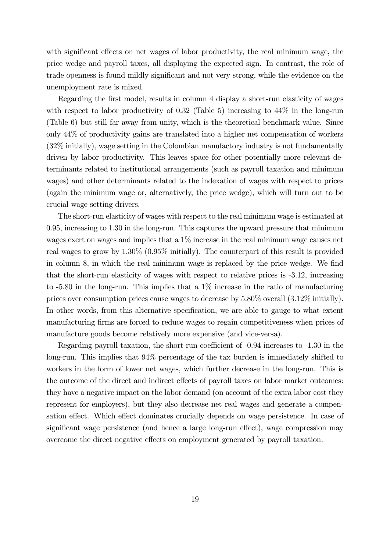with significant effects on net wages of labor productivity, the real minimum wage, the price wedge and payroll taxes, all displaying the expected sign. In contrast, the role of trade openness is found mildly significant and not very strong, while the evidence on the unemployment rate is mixed.

Regarding the first model, results in column 4 display a short-run elasticity of wages with respect to labor productivity of 0.32 (Table 5) increasing to  $44\%$  in the long-run (Table 6) but still far away from unity, which is the theoretical benchmark value. Since only 44% of productivity gains are translated into a higher net compensation of workers (32% initially), wage setting in the Colombian manufactory industry is not fundamentally driven by labor productivity. This leaves space for other potentially more relevant determinants related to institutional arrangements (such as payroll taxation and minimum wages) and other determinants related to the indexation of wages with respect to prices (again the minimum wage or, alternatively, the price wedge), which will turn out to be crucial wage setting drivers.

The short-run elasticity of wages with respect to the real minimum wage is estimated at 0.95, increasing to 1.30 in the long-run. This captures the upward pressure that minimum wages exert on wages and implies that a 1% increase in the real minimum wage causes net real wages to grow by 1.30% (0.95% initially). The counterpart of this result is provided in column 8, in which the real minimum wage is replaced by the price wedge. We find that the short-run elasticity of wages with respect to relative prices is -3.12, increasing to  $-5.80$  in the long-run. This implies that a  $1\%$  increase in the ratio of manufacturing prices over consumption prices cause wages to decrease by 5.80% overall (3.12% initially). In other words, from this alternative specification, we are able to gauge to what extent manufacturing firms are forced to reduce wages to regain competitiveness when prices of manufacture goods become relatively more expensive (and vice-versa).

Regarding payroll taxation, the short-run coefficient of -0.94 increases to -1.30 in the long-run. This implies that 94% percentage of the tax burden is immediately shifted to workers in the form of lower net wages, which further decrease in the long-run. This is the outcome of the direct and indirect effects of payroll taxes on labor market outcomes: they have a negative impact on the labor demand (on account of the extra labor cost they represent for employers), but they also decrease net real wages and generate a compensation effect. Which effect dominates crucially depends on wage persistence. In case of significant wage persistence (and hence a large long-run effect), wage compression may overcome the direct negative effects on employment generated by payroll taxation.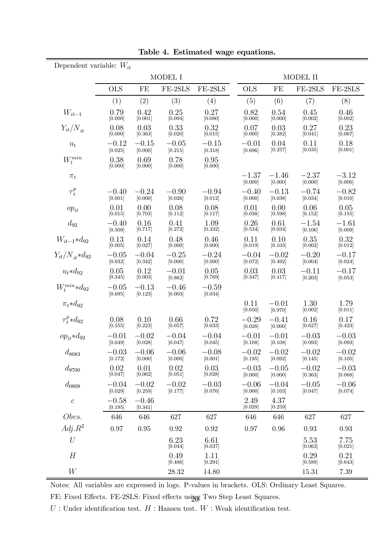| Dependent variable: $W_{it}$ |                    |                    |                    |                    |                    |                    |                    |                    |  |
|------------------------------|--------------------|--------------------|--------------------|--------------------|--------------------|--------------------|--------------------|--------------------|--|
|                              |                    |                    | MODEL I            |                    | MODEL II           |                    |                    |                    |  |
|                              | <b>OLS</b>         | FE                 | FE-2SLS            | FE-2SLS            | <b>OLS</b>         | FE                 | FE-2SLS            | FE-2SLS            |  |
|                              | (1)                | (2)                | (3)                | (4)                | (5)                | (6)                | (7)                | (8)                |  |
| $W_{it-1}$                   | 0.79<br>[0.000]    | 0.42<br>[0.001]    | 0.25<br>[0.094]    | 0.27<br>[0.080]    | 0.82<br>[0.000]    | 0.54<br>[0.000]    | 0.45<br>[0.002]    | 0.46<br>[0.002]    |  |
| $Y_{it}/N_{it}$              | 0.08<br>[0.000]    | 0.03<br>[0.363]    | 0.33<br>[0.020]    | 0.32<br>[0.015]    | 0.07<br>[0.000]    | 0.03<br>[0.382]    | 0.27<br>[0.041]    | 0.23<br>[0.067]    |  |
| $u_t$                        | $-0.12$<br>[0.025] | $-0.15$<br>[0.000] | $-0.05$<br>[0.215] | $-0.15$<br>[0.318] | $-0.01$<br>[0.696] | 0.04<br>[0.257]    | 0.11<br>[0.035]    | 0.18<br>[0.001]    |  |
| $W_t^{min}$                  | 0.38<br>[0.000]    | 0.69<br>[0.000]    | 0.78<br>[0.000]    | 0.95<br>[0.000]    |                    |                    |                    |                    |  |
| $\pi_t$                      |                    |                    |                    |                    | $-1.37$<br>[0.000] | $-1.46$<br>[0.000] | $-2.37$<br>[0.000] | $-3.12$<br>[0.000] |  |
| $\tau^p_t$                   | $-0.40$<br>[0.001] | $-0.24$<br>[0.000] | $-0.90$<br>[0.026] | $-0.94$<br>[0.012] | $-0.40$<br>[0.000] | $-0.13$<br>[0.038] | $-0.74$<br>[0.034] | $-0.82$<br>[0.010] |  |
| $op_{it}$                    | 0.01<br>[0.015]    | 0.00<br>[0.703]    | 0.08<br>[0.112]    | 0.08<br>[0.117]    | 0.01<br>[0.038]    | 0.00<br>[0.598]    | 0.06<br>[0.152]    | 0.05<br>[0.155]    |  |
| $d_{92}$                     | $-0.40$<br>[0.509] | 0.16<br>[0.717]    | 0.41<br>[0.272]    | 1.09<br>[0.332]    | 0.26<br>[0.534]    | 0.61<br>[0.034]    | $-1.54$<br>[0.106] | $-1.61$<br>[0.009] |  |
| $W_{it-1} * d_{92}$          | 0.13<br>[0.005]    | 0.14<br>[0.027]    | 0.48<br>[0.000]    | 0.46<br>[0.000]    | 0.11<br>[0.019]    | 0.10<br>[0.103]    | 0.35<br>[0.002]    | 0.32<br>[0.012]    |  |
| $Y_{it}/N_{it}*d_{92}$       | $-0.05$<br>[0.032] | $-0.04$<br>[0.342] | $-0.25$<br>[0.000] | $-0.24$<br>[0.000] | $-0.04$<br>[0.072] | $-0.02$<br>[0.492] | $-0.20$<br>[0.004] | $-0.17$<br>[0.024] |  |
| $u_t * d_{92}$               | 0.05<br>[0.345]    | 0.12<br>[0.003]    | $-0.01$<br>[0.862] | 0.05<br>[0.769]    | 0.03<br>[0.347]    | 0.03<br>[0.417]    | $-0.11$<br>[0.203] | $-0.17$<br>[0.053] |  |
| $W_t^{min} * d_{92}$         | $-0.05$<br>[0.695] | $-0.13$<br>[0.123] | $-0.46$<br>[0.003] | $-0.59$<br>[0.034] |                    |                    |                    |                    |  |
| $\pi_t * d_{92}$             |                    |                    |                    |                    | 0.11<br>[0.650]    | $-0.01$<br>[0.970] | 1.30<br>[0.002]    | 1.79<br>[0.011]    |  |
| $\tau_t^p * d_{92}$          | 0.08<br>[0.555]    | 0.10<br>[0.223]    | 0.66<br>[0.057]    | 0.72<br>[0.033]    | $-0.29$<br>[0.028] | $-0.41$<br>[0.000] | 0.16<br>[0.627]    | 0.17<br>[0.423]    |  |
| $op_{it}*d_{92}$             | $-0.01$<br>[0.049] | $-0.02$<br>[0.028] | $-0.04$<br>[0.047] | $-0.04$<br>[0.045] | $-0.01$<br>[0.108] | $-0.01$<br>[0.108] | $-0.03$<br>[0.093] | $-0.03$<br>[0.093] |  |
| $d_{8083}$                   | $-0.03$<br>[0.172] | $-0.06$<br>[0.000] | $-0.06$<br>[0.000] | $-0.08$<br>[0.001] | $-0.02$<br>[0.195] | $-0.02$<br>[0.092] | $-0.02$<br>[0.145] | $-0.02$<br>[0.105] |  |
| $d_{9700}$                   | 0.02<br>[0.047]    | 0.01<br>[0.062]    | 0.02<br>[0.051]    | 0.03<br>[0.028]    | $-0.03$<br>[0.000] | $-0.05$<br>[0.000] | $-0.02$<br>[0.363] | $-0.03$<br>[0.068] |  |
| $d_{0809}$                   | $-0.04$<br>[0.029] | $-0.02$<br>[0.259] | $-0.02$<br>[0.177] | $-0.03$<br>[0.076] | $-0.06$<br>[0.000] | $-0.04$<br>[0.103] | $-0.05$<br>[0.047] | $-0.06$<br>[0.074] |  |
| $\boldsymbol{c}$             | $-0.58$<br>[0.195] | $-0.46$<br>[0.341] |                    |                    | 2.49<br>[0.029]    | 4.37<br>[0.259]    |                    |                    |  |
| Obvs.                        | 646                | 646                | 627                | 627                | 646                | 646                | 627                | 627                |  |
| $Adj.R^2$                    | 0.97               | 0.95               | 0.92               | 0.92               | 0.97               | 0.96               | 0.93               | 0.93               |  |
| U                            |                    |                    | 6.23<br>[0.044]    | 6.61<br>[0.037]    |                    |                    | 5.53<br>[0.063]    | 7.75<br>[0.021]    |  |
| H                            |                    |                    | 0.49<br>[0.486]    | 1.11<br>[0.291]    |                    |                    | 0.29<br>[0.588]    | 0.21<br>[0.643]    |  |
| W                            |                    |                    | 28.32              | 14.80              |                    |                    | 15.31              | 7.39               |  |

Table 4. Estimated wage equations.

Notes: All variables are expressed in logs. P-values in brackets. OLS: Ordinary Least Squares.

FE: Fixed Effects. FE-2SLS: Fixed effects using Two Step Least Squares.  $U$ : Under identification test.  $H$ : Hansen test.  $W$ : Weak identification test.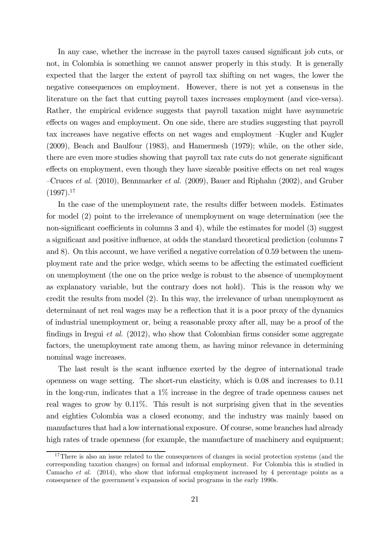In any case, whether the increase in the payroll taxes caused significant job cuts, or not, in Colombia is something we cannot answer properly in this study. It is generally expected that the larger the extent of payroll tax shifting on net wages, the lower the negative consequences on employment. However, there is not yet a consensus in the literature on the fact that cutting payroll taxes increases employment (and vice-versa). Rather, the empirical evidence suggests that payroll taxation might have asymmetric effects on wages and employment. On one side, there are studies suggesting that payroll tax increases have negative effects on net wages and employment —Kugler and Kugler (2009), Beach and Baulfour (1983), and Hamermesh (1979); while, on the other side, there are even more studies showing that payroll tax rate cuts do not generate significant effects on employment, even though they have sizeable positive effects on net real wages —Cruces et al. (2010), Bennmarker et al. (2009), Bauer and Riphahn (2002), and Gruber  $(1997).^{17}$ 

In the case of the unemployment rate, the results differ between models. Estimates for model (2) point to the irrelevance of unemployment on wage determination (see the non-significant coefficients in columns 3 and 4), while the estimates for model (3) suggest a significant and positive influence, at odds the standard theoretical prediction (columns 7 and 8). On this account, we have verified a negative correlation of 0.59 between the unemployment rate and the price wedge, which seems to be affecting the estimated coefficient on unemployment (the one on the price wedge is robust to the absence of unemployment as explanatory variable, but the contrary does not hold). This is the reason why we credit the results from model (2). In this way, the irrelevance of urban unemployment as determinant of net real wages may be a reflection that it is a poor proxy of the dynamics of industrial unemployment or, being a reasonable proxy after all, may be a proof of the findings in Iregui *et al.* (2012), who show that Colombian firms consider some aggregate factors, the unemployment rate among them, as having minor relevance in determining nominal wage increases.

The last result is the scant influence exerted by the degree of international trade openness on wage setting. The short-run elasticity, which is 0.08 and increases to 0.11 in the long-run, indicates that a 1% increase in the degree of trade openness causes net real wages to grow by 0.11%. This result is not surprising given that in the seventies and eighties Colombia was a closed economy, and the industry was mainly based on manufactures that had a low international exposure. Of course, some branches had already high rates of trade openness (for example, the manufacture of machinery and equipment;

<sup>&</sup>lt;sup>17</sup>There is also an issue related to the consequences of changes in social protection systems (and the corresponding taxation changes) on formal and informal employment. For Colombia this is studied in Camacho et al. (2014), who show that informal employment increased by 4 percentage points as a consequence of the government's expansion of social programs in the early 1990s.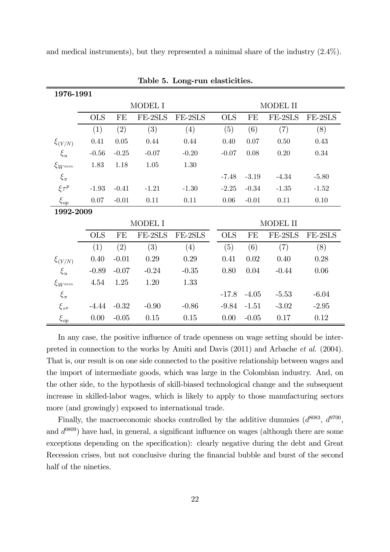and medical instruments), but they represented a minimal share of the industry (2.4%).

| 1976-1991       |            |          |          |          |          |            |         |          |         |  |
|-----------------|------------|----------|----------|----------|----------|------------|---------|----------|---------|--|
|                 |            |          | MODEL I  |          | MODEL II |            |         |          |         |  |
|                 | <b>OLS</b> | FE       | FE-2SLS  | FE-2SLS  |          | <b>OLS</b> | FE      | FE-2SLS  | FE-2SLS |  |
|                 | (1)        | (2)      | (3)      | (4)      |          | (5)        | (6)     | (7)      | (8)     |  |
| $\xi_{(Y/N)}$   | 0.41       | $0.05\,$ | 0.44     | 0.44     |          | 0.40       | 0.07    | $0.50\,$ | 0.43    |  |
| $\xi_u$         | $-0.56$    | $-0.25$  | $-0.07$  | $-0.20$  |          | $-0.07$    | 0.08    | $0.20\,$ | 0.34    |  |
| $\xi_{W^{min}}$ | 1.83       | 1.18     | $1.05\,$ | $1.30\,$ |          |            |         |          |         |  |
| $\xi_{\pi}$     |            |          |          |          |          | $-7.48$    | $-3.19$ | $-4.34$  | $-5.80$ |  |
| $\xi\tau^p$     | $-1.93$    | $-0.41$  | $-1.21$  | $-1.30$  |          | $-2.25$    | $-0.34$ | $-1.35$  | $-1.52$ |  |
| $\xi_{op}$      | 0.07       | $-0.01$  | 0.11     | 0.11     |          | 0.06       | $-0.01$ | 0.11     | 0.10    |  |
|                 | 1992-2009  |          |          |          |          |            |         |          |         |  |
|                 | MODEL I    |          |          |          |          | MODEL II   |         |          |         |  |
|                 | <b>OLS</b> | FE       | FE-2SLS  | FE-2SLS  |          | <b>OLS</b> | FE      | FE-2SLS  | FE-2SLS |  |
|                 | (1)        | (2)      | (3)      | (4)      |          | (5)        | (6)     | (7)      | (8)     |  |
| $\xi_{(Y/N)}$   | 0.40       | $-0.01$  | 0.29     | 0.29     |          | 0.41       | 0.02    | 0.40     | 0.28    |  |
| $\xi_u$         | $-0.89$    | $-0.07$  | $-0.24$  | $-0.35$  |          | 0.80       | 0.04    | $-0.44$  | 0.06    |  |
| $\xi_{W^{min}}$ | 4.54       | 1.25     | 1.20     | 1.33     |          |            |         |          |         |  |
| $\xi_{\pi}$     |            |          |          |          |          | $-17.8$    | $-4.05$ | $-5.53$  | $-6.04$ |  |
| $\xi_{\tau^p}$  | $-4.44$    | $-0.32$  | $-0.90$  | $-0.86$  |          | $-9.84$    | $-1.51$ | $-3.02$  | $-2.95$ |  |
| $\xi_{op}$      | 0.00       | $-0.05$  | 0.15     | 0.15     |          | 0.00       | $-0.05$ | 0.17     | 0.12    |  |

Table 5. Long-run elasticities.

In any case, the positive influence of trade openness on wage setting should be interpreted in connection to the works by Amiti and Davis (2011) and Arbache et al. (2004). That is, our result is on one side connected to the positive relationship between wages and the import of intermediate goods, which was large in the Colombian industry. And, on the other side, to the hypothesis of skill-biased technological change and the subsequent increase in skilled-labor wages, which is likely to apply to those manufacturing sectors more (and growingly) exposed to international trade.

Finally, the macroeconomic shocks controlled by the additive dummies  $(d^{8083}, d^{9700},$ and  $d^{0809}$ ) have had, in general, a significant influence on wages (although there are some exceptions depending on the specification): clearly negative during the debt and Great Recession crises, but not conclusive during the financial bubble and burst of the second half of the nineties.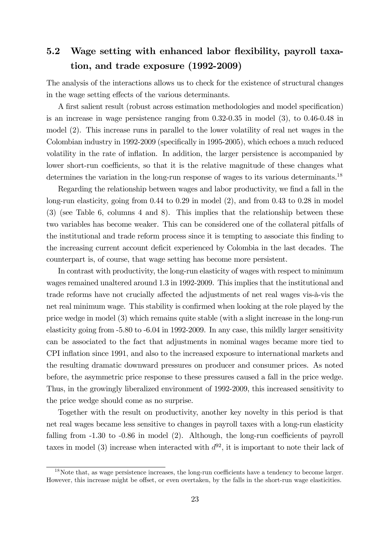# 5.2 Wage setting with enhanced labor flexibility, payroll taxation, and trade exposure (1992-2009)

The analysis of the interactions allows us to check for the existence of structural changes in the wage setting effects of the various determinants.

A first salient result (robust across estimation methodologies and model specification) is an increase in wage persistence ranging from 0.32-0.35 in model (3), to 0.46-0.48 in model (2). This increase runs in parallel to the lower volatility of real net wages in the Colombian industry in 1992-2009 (specifically in 1995-2005), which echoes a much reduced volatility in the rate of inflation. In addition, the larger persistence is accompanied by lower short-run coefficients, so that it is the relative magnitude of these changes what determines the variation in the long-run response of wages to its various determinants.<sup>18</sup>

Regarding the relationship between wages and labor productivity, we find a fall in the long-run elasticity, going from 0.44 to 0.29 in model (2), and from 0.43 to 0.28 in model (3) (see Table 6, columns 4 and 8). This implies that the relationship between these two variables has become weaker. This can be considered one of the collateral pitfalls of the institutional and trade reform process since it is tempting to associate this finding to the increasing current account deficit experienced by Colombia in the last decades. The counterpart is, of course, that wage setting has become more persistent.

In contrast with productivity, the long-run elasticity of wages with respect to minimum wages remained unaltered around 1.3 in 1992-2009. This implies that the institutional and trade reforms have not crucially affected the adjustments of net real wages vis-à-vis the net real minimum wage. This stability is confirmed when looking at the role played by the price wedge in model (3) which remains quite stable (with a slight increase in the long-run elasticity going from -5.80 to -6.04 in 1992-2009. In any case, this mildly larger sensitivity can be associated to the fact that adjustments in nominal wages became more tied to CPI inflation since 1991, and also to the increased exposure to international markets and the resulting dramatic downward pressures on producer and consumer prices. As noted before, the asymmetric price response to these pressures caused a fall in the price wedge. Thus, in the growingly liberalized environment of 1992-2009, this increased sensitivity to the price wedge should come as no surprise.

Together with the result on productivity, another key novelty in this period is that net real wages became less sensitive to changes in payroll taxes with a long-run elasticity falling from  $-1.30$  to  $-0.86$  in model (2). Although, the long-run coefficients of payroll taxes in model (3) increase when interacted with  $d^{92}$ , it is important to note their lack of

<sup>18</sup>Note that, as wage persistence increases, the long-run coefficients have a tendency to become larger. However, this increase might be offset, or even overtaken, by the falls in the short-run wage elasticities.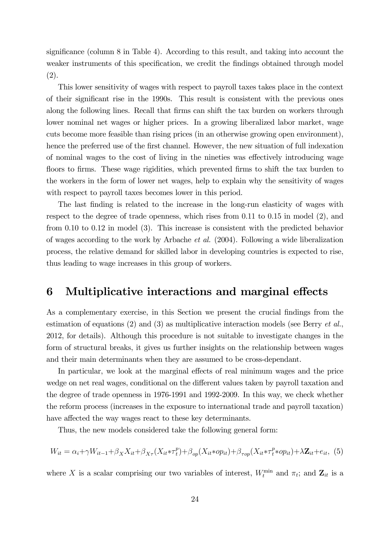significance (column 8 in Table 4). According to this result, and taking into account the weaker instruments of this specification, we credit the findings obtained through model (2).

This lower sensitivity of wages with respect to payroll taxes takes place in the context of their significant rise in the 1990s. This result is consistent with the previous ones along the following lines. Recall that firms can shift the tax burden on workers through lower nominal net wages or higher prices. In a growing liberalized labor market, wage cuts become more feasible than rising prices (in an otherwise growing open environment), hence the preferred use of the first channel. However, the new situation of full indexation of nominal wages to the cost of living in the nineties was effectively introducing wage floors to firms. These wage rigidities, which prevented firms to shift the tax burden to the workers in the form of lower net wages, help to explain why the sensitivity of wages with respect to payroll taxes becomes lower in this period.

The last finding is related to the increase in the long-run elasticity of wages with respect to the degree of trade openness, which rises from 0.11 to 0.15 in model (2), and from 0.10 to 0.12 in model (3). This increase is consistent with the predicted behavior of wages according to the work by Arbache et al. (2004). Following a wide liberalization process, the relative demand for skilled labor in developing countries is expected to rise, thus leading to wage increases in this group of workers.

### 6 Multiplicative interactions and marginal effects

As a complementary exercise, in this Section we present the crucial findings from the estimation of equations (2) and (3) as multiplicative interaction models (see Berry *et al.*, 2012, for details). Although this procedure is not suitable to investigate changes in the form of structural breaks, it gives us further insights on the relationship between wages and their main determinants when they are assumed to be cross-dependant.

In particular, we look at the marginal effects of real minimum wages and the price wedge on net real wages, conditional on the different values taken by payroll taxation and the degree of trade openness in 1976-1991 and 1992-2009. In this way, we check whether the reform process (increases in the exposure to international trade and payroll taxation) have affected the way wages react to these key determinants.

Thus, the new models considered take the following general form:

$$
W_{it} = \alpha_i + \gamma W_{it-1} + \beta_X X_{it} + \beta_{X\tau} (X_{it} * \tau_t^p) + \beta_{op} (X_{it} * op_{it}) + \beta_{rop} (X_{it} * \tau_t^p * op_{it}) + \lambda \mathbf{Z}_{it} + e_{it},
$$
 (5)

where X is a scalar comprising our two variables of interest,  $W_t^{\min}$  and  $\pi_t$ ; and  $\mathbf{Z}_{it}$  is a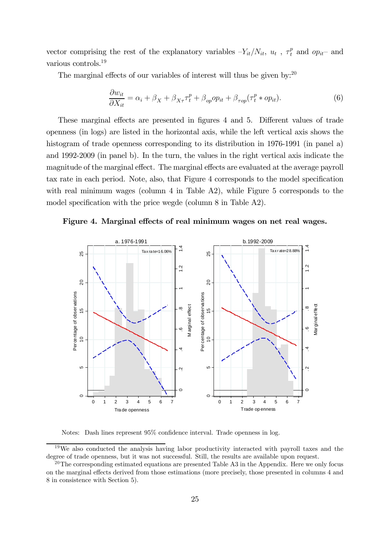vector comprising the rest of the explanatory variables  $-Y_{it}/N_{it}$ ,  $u_t$ ,  $\tau_t^p$  and  $op_{it}$  and various controls.19

The marginal effects of our variables of interest will thus be given by:  $20$ 

$$
\frac{\partial w_{it}}{\partial X_{it}} = \alpha_i + \beta_X + \beta_{X\tau}\tau_t^p + \beta_{op}op_{it} + \beta_{\tau op}(\tau_t^p * op_{it}).\tag{6}
$$

These marginal effects are presented in figures 4 and 5. Different values of trade openness (in logs) are listed in the horizontal axis, while the left vertical axis shows the histogram of trade openness corresponding to its distribution in 1976-1991 (in panel a) and 1992-2009 (in panel b). In the turn, the values in the right vertical axis indicate the magnitude of the marginal effect. The marginal effects are evaluated at the average payroll tax rate in each period. Note, also, that Figure 4 corresponds to the model specification with real minimum wages (column 4 in Table A2), while Figure 5 corresponds to the model specification with the price wegde (column 8 in Table A2).





Notes: Dash lines represent 95% confidence interval. Trade openness in log.

<sup>&</sup>lt;sup>19</sup>We also conducted the analysis having labor productivity interacted with payroll taxes and the degree of trade openness, but it was not successful. Still, the results are available upon request.

 $20$ The corresponding estimated equations are presented Table A3 in the Appendix. Here we only focus on the marginal effects derived from those estimations (more precisely, those presented in columns 4 and 8 in consistence with Section 5).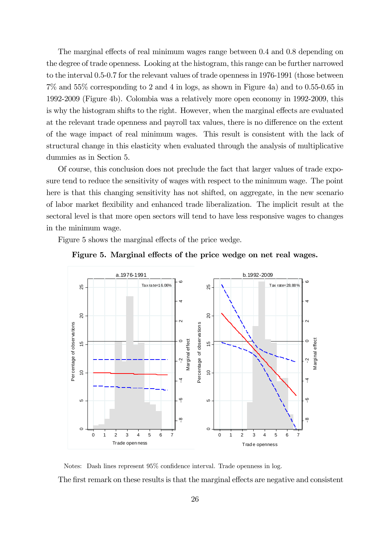The marginal effects of real minimum wages range between 0.4 and 0.8 depending on the degree of trade openness. Looking at the histogram, this range can be further narrowed to the interval 0.5-0.7 for the relevant values of trade openness in 1976-1991 (those between 7% and 55% corresponding to 2 and 4 in logs, as shown in Figure 4a) and to 0.55-0.65 in 1992-2009 (Figure 4b). Colombia was a relatively more open economy in 1992-2009, this is why the histogram shifts to the right. However, when the marginal effects are evaluated at the relevant trade openness and payroll tax values, there is no difference on the extent of the wage impact of real minimum wages. This result is consistent with the lack of structural change in this elasticity when evaluated through the analysis of multiplicative dummies as in Section 5.

Of course, this conclusion does not preclude the fact that larger values of trade exposure tend to reduce the sensitivity of wages with respect to the minimum wage. The point here is that this changing sensitivity has not shifted, on aggregate, in the new scenario of labor market flexibility and enhanced trade liberalization. The implicit result at the sectoral level is that more open sectors will tend to have less responsive wages to changes in the minimum wage.

Figure 5 shows the marginal effects of the price wedge.





Notes: Dash lines represent 95% confidence interval. Trade openness in log. The first remark on these results is that the marginal effects are negative and consistent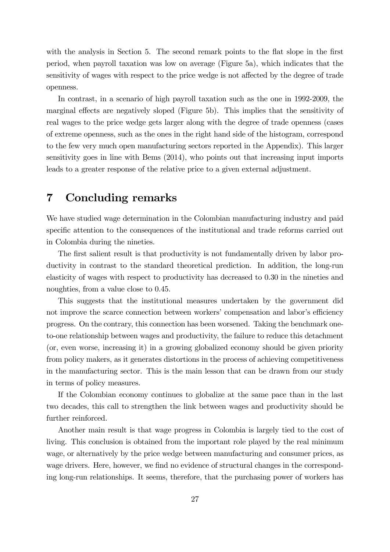with the analysis in Section 5. The second remark points to the flat slope in the first period, when payroll taxation was low on average (Figure 5a), which indicates that the sensitivity of wages with respect to the price wedge is not affected by the degree of trade openness.

In contrast, in a scenario of high payroll taxation such as the one in 1992-2009, the marginal effects are negatively sloped (Figure 5b). This implies that the sensitivity of real wages to the price wedge gets larger along with the degree of trade openness (cases of extreme openness, such as the ones in the right hand side of the histogram, correspond to the few very much open manufacturing sectors reported in the Appendix). This larger sensitivity goes in line with Bems (2014), who points out that increasing input imports leads to a greater response of the relative price to a given external adjustment.

### 7 Concluding remarks

We have studied wage determination in the Colombian manufacturing industry and paid specific attention to the consequences of the institutional and trade reforms carried out in Colombia during the nineties.

The first salient result is that productivity is not fundamentally driven by labor productivity in contrast to the standard theoretical prediction. In addition, the long-run elasticity of wages with respect to productivity has decreased to 0.30 in the nineties and noughties, from a value close to 0.45.

This suggests that the institutional measures undertaken by the government did not improve the scarce connection between workers' compensation and labor's efficiency progress. On the contrary, this connection has been worsened. Taking the benchmark oneto-one relationship between wages and productivity, the failure to reduce this detachment (or, even worse, increasing it) in a growing globalized economy should be given priority from policy makers, as it generates distortions in the process of achieving competitiveness in the manufacturing sector. This is the main lesson that can be drawn from our study in terms of policy measures.

If the Colombian economy continues to globalize at the same pace than in the last two decades, this call to strengthen the link between wages and productivity should be further reinforced.

Another main result is that wage progress in Colombia is largely tied to the cost of living. This conclusion is obtained from the important role played by the real minimum wage, or alternatively by the price wedge between manufacturing and consumer prices, as wage drivers. Here, however, we find no evidence of structural changes in the corresponding long-run relationships. It seems, therefore, that the purchasing power of workers has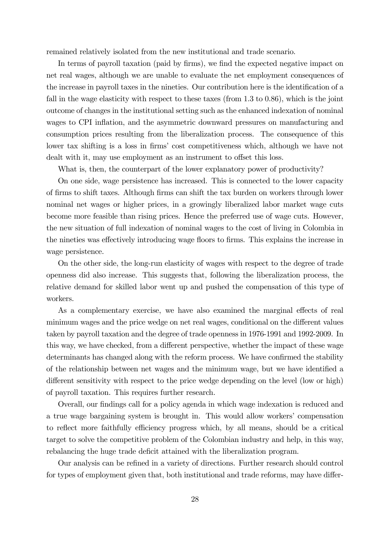remained relatively isolated from the new institutional and trade scenario.

In terms of payroll taxation (paid by firms), we find the expected negative impact on net real wages, although we are unable to evaluate the net employment consequences of the increase in payroll taxes in the nineties. Our contribution here is the identification of a fall in the wage elasticity with respect to these taxes (from 1.3 to 0.86), which is the joint outcome of changes in the institutional setting such as the enhanced indexation of nominal wages to CPI inflation, and the asymmetric downward pressures on manufacturing and consumption prices resulting from the liberalization process. The consequence of this lower tax shifting is a loss in firms' cost competitiveness which, although we have not dealt with it, may use employment as an instrument to offset this loss.

What is, then, the counterpart of the lower explanatory power of productivity?

On one side, wage persistence has increased. This is connected to the lower capacity of firms to shift taxes. Although firms can shift the tax burden on workers through lower nominal net wages or higher prices, in a growingly liberalized labor market wage cuts become more feasible than rising prices. Hence the preferred use of wage cuts. However, the new situation of full indexation of nominal wages to the cost of living in Colombia in the nineties was effectively introducing wage floors to firms. This explains the increase in wage persistence.

On the other side, the long-run elasticity of wages with respect to the degree of trade openness did also increase. This suggests that, following the liberalization process, the relative demand for skilled labor went up and pushed the compensation of this type of workers.

As a complementary exercise, we have also examined the marginal effects of real minimum wages and the price wedge on net real wages, conditional on the different values taken by payroll taxation and the degree of trade openness in 1976-1991 and 1992-2009. In this way, we have checked, from a different perspective, whether the impact of these wage determinants has changed along with the reform process. We have confirmed the stability of the relationship between net wages and the minimum wage, but we have identified a different sensitivity with respect to the price wedge depending on the level (low or high) of payroll taxation. This requires further research.

Overall, our findings call for a policy agenda in which wage indexation is reduced and a true wage bargaining system is brought in. This would allow workers' compensation to reflect more faithfully efficiency progress which, by all means, should be a critical target to solve the competitive problem of the Colombian industry and help, in this way, rebalancing the huge trade deficit attained with the liberalization program.

Our analysis can be refined in a variety of directions. Further research should control for types of employment given that, both institutional and trade reforms, may have differ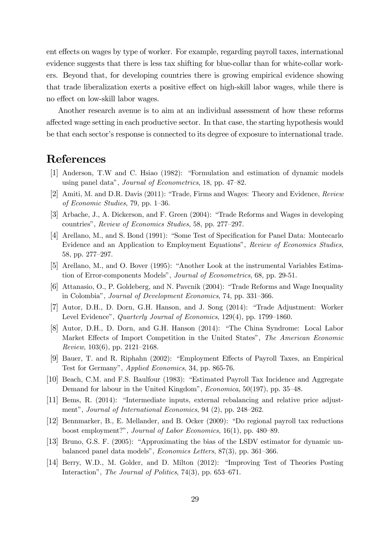ent effects on wages by type of worker. For example, regarding payroll taxes, international evidence suggests that there is less tax shifting for blue-collar than for white-collar workers. Beyond that, for developing countries there is growing empirical evidence showing that trade liberalization exerts a positive effect on high-skill labor wages, while there is no effect on low-skill labor wages.

Another research avenue is to aim at an individual assessment of how these reforms affected wage setting in each productive sector. In that case, the starting hypothesis would be that each sector's response is connected to its degree of exposure to international trade.

# References

- [1] Anderson, T.W and C. Hsiao (1982): "Formulation and estimation of dynamic models using panel data", Journal of Econometrics, 18, pp. 47—82.
- [2] Amiti, M. and D.R. Davis (2011): "Trade, Firms and Wages: Theory and Evidence, Review of Economic Studies, 79, pp. 1—36.
- [3] Arbache, J., A. Dickerson, and F. Green (2004): "Trade Reforms and Wages in developing countries", Review of Economics Studies, 58, pp. 277—297.
- [4] Arellano, M., and S. Bond (1991): "Some Test of Specification for Panel Data: Montecarlo Evidence and an Application to Employment Equations", Review of Economics Studies, 58, pp. 277—297.
- [5] Arellano, M., and O. Bover (1995): "Another Look at the instrumental Variables Estimation of Error-components Models", Journal of Econometrics, 68, pp. 29-51.
- [6] Attanasio, O., P. Goldeberg, and N. Pavcnik (2004): "Trade Reforms and Wage Inequality in Colombia", Journal of Development Economics, 74, pp. 331—366.
- [7] Autor, D.H., D. Dorn, G.H. Hanson, and J. Song (2014): "Trade Adjustment: Worker Level Evidence", Quarterly Journal of Economics, 129(4), pp. 1799—1860.
- [8] Autor, D.H., D. Dorn, and G.H. Hanson (2014): "The China Syndrome: Local Labor Market Effects of Import Competition in the United States", The American Economic Review, 103(6), pp. 2121—2168.
- [9] Bauer, T. and R. Riphahn (2002): "Employment Effects of Payroll Taxes, an Empirical Test for Germany", Applied Economics, 34, pp. 865-76.
- [10] Beach, C.M. and F.S. Baulfour (1983): "Estimated Payroll Tax Incidence and Aggregate Demand for labour in the United Kingdom", Economica, 50(197), pp. 35—48.
- [11] Bems, R. (2014): "Intermediate inputs, external rebalancing and relative price adjustment", Journal of International Economics, 94 (2), pp. 248—262.
- [12] Bennmarker, B., E. Mellander, and B. Ocker (2009): "Do regional payroll tax reductions boost employment?", Journal of Labor Economics, 16(1), pp. 480—89.
- [13] Bruno, G.S. F. (2005): "Approximating the bias of the LSDV estimator for dynamic unbalanced panel data models", Economics Letters, 87(3), pp. 361—366.
- [14] Berry, W.D., M. Golder, and D. Milton (2012): "Improving Test of Theories Posting Interaction", The Journal of Politics, 74(3), pp. 653—671.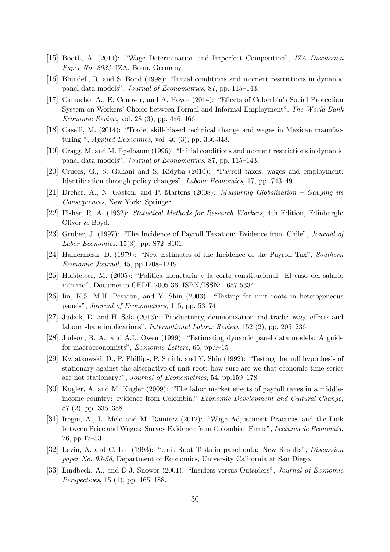- [15] Booth, A. (2014): "Wage Determination and Imperfect Competition", IZA Discussion Paper No. 8034, IZA, Bonn, Germany.
- [16] Blundell, R. and S. Bond (1998): "Initial conditions and moment restrictions in dynamic panel data models", Journal of Econometrics, 87, pp. 115—143.
- [17] Camacho, A., E. Conover, and A. Hoyos (2014): "Effects of Colombia's Social Protection System on Workers' Choice between Formal and Informal Employment", The World Bank Economic Review, vol. 28 (3), pp. 446—466.
- [18] Caselli, M. (2014): "Trade, skill-biased technical change and wages in Mexican manufacturing ", Applied Economics, vol. 46 (3), pp. 336-348.
- [19] Cragg, M. and M. Epelbaum (1996): "Initial conditions and moment restrictions in dynamic panel data models", Journal of Econometrics, 87, pp. 115—143.
- [20] Cruces, G., S. Galiani and S. Kidyba (2010): "Payroll taxes, wages and employment: Identification through policy changes", Labour Economics, 17, pp. 743—49.
- [21] Dreher, A., N. Gaston, and P. Martens (2008): Measuring Globalisation Gauging its Consequences, New York: Springer.
- [22] Fisher, R. A. (1932): Statistical Methods for Research Workers, 4th Edition, Edinburgh: Oliver & Boyd.
- [23] Gruber, J. (1997): "The Incidence of Payroll Taxation: Evidence from Chile", Journal of Labor Economics, 15(3), pp. S72—S101.
- [24] Hamermesh, D. (1979): "New Estimates of the Incidence of the Payroll Tax", Southern Economic Journal, 45, pp.1208—1219.
- [25] Hofstetter, M. (2005): "Política monetaria y la corte constitucional: El caso del salario mínimo", Documento CEDE 2005-36, ISBN/ISSN: 1657-5334.
- [26] Im, K.S, M.H. Pesaran, and Y. Shin (2003): "Testing for unit roots in heterogeneous panels", Journal of Econometrics, 115, pp. 53—74.
- [27] Judzik, D. and H. Sala (2013): "Productivity, deunionization and trade: wage effects and labour share implications", International Labour Review, 152 (2), pp. 205—236.
- [28] Judson, R. A., and A.L. Owen (1999): "Estimating dynamic panel data models: A guide for macroeconomists", Economic Letters, 65, pp.9—15
- [29] Kwiatkowski, D., P. Phillips, P. Smith, and Y. Shin (1992): "Testing the null hypothesis of stationary against the alternative of unit root: how sure are we that economic time series are not stationary?", Journal of Econometrics, 54, pp.159—178.
- [30] Kugler, A. and M. Kugler (2009): "The labor market effects of payroll taxes in a middleincome country: evidence from Colombia," Economic Development and Cultural Change, 57 (2), pp. 335—358.
- [31] Iregui, A., L. Melo and M. Ramírez (2012): "Wage Adjustment Practices and the Link between Price and Wages: Survey Evidence from Colombian Firms", Lecturas de Economía, 76, pp.17—53.
- [32] Levin, A. and C. Lin (1993): "Unit Root Tests in panel data: New Results", Discussion paper No. 93-56, Department of Economics, University California at San Diego.
- [33] Lindbeck, A., and D.J. Snower (2001): "Insiders versus Outsiders", Journal of Economic Perspectives, 15 (1), pp. 165—188.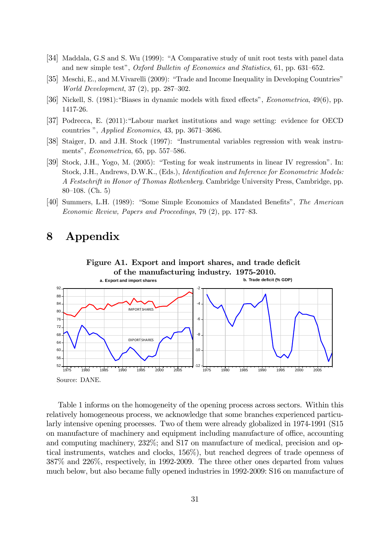- [34] Maddala, G.S and S. Wu (1999): "A Comparative study of unit root tests with panel data and new simple test", Oxford Bulletin of Economics and Statistics, 61, pp. 631—652.
- [35] Meschi, E., and M.Vivarelli (2009): "Trade and Income Inequality in Developing Countries" World Development, 37 (2), pp. 287—302.
- [36] Nickell, S. (1981):"Biases in dynamic models with fixed effects", Econometrica, 49(6), pp. 1417-26.
- [37] Podrecca, E. (2011):"Labour market institutions and wage setting: evidence for OECD countries ", Applied Economics, 43, pp. 3671—3686.
- [38] Staiger, D. and J.H. Stock (1997): "Instrumental variables regression with weak instruments", Econometrica, 65, pp. 557—586.
- [39] Stock, J.H., Yogo, M. (2005): "Testing for weak instruments in linear IV regression". In: Stock, J.H., Andrews, D.W.K., (Eds.), Identification and Inference for Econometric Models: A Festschrift in Honor of Thomas Rothenberg. Cambridge University Press, Cambridge, pp. 80—108. (Ch. 5)
- [40] Summers, L.H. (1989): "Some Simple Economics of Mandated Benefits", The American Economic Review, Papers and Proceedings, 79 (2), pp. 177—83.

# 8 Appendix



Table 1 informs on the homogeneity of the opening process across sectors. Within this relatively homogeneous process, we acknowledge that some branches experienced particularly intensive opening processes. Two of them were already globalized in 1974-1991 (S15 on manufacture of machinery and equipment including manufacture of office, accounting and computing machinery, 232%; and S17 on manufacture of medical, precision and optical instruments, watches and clocks, 156%), but reached degrees of trade openness of 387% and 226%, respectively, in 1992-2009. The three other ones departed from values much below, but also became fully opened industries in 1992-2009: S16 on manufacture of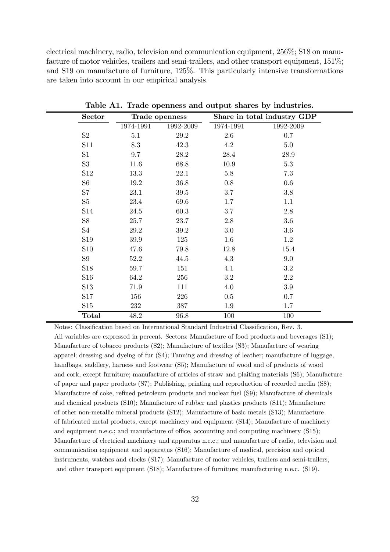electrical machinery, radio, television and communication equipment, 256%; S18 on manufacture of motor vehicles, trailers and semi-trailers, and other transport equipment,  $151\%$ ; and S19 on manufacture of furniture, 125%. This particularly intensive transformations are taken into account in our empirical analysis.

| <b>Sector</b>   | Trade openness |           |           | Share in total industry GDP |  |  |  |  |
|-----------------|----------------|-----------|-----------|-----------------------------|--|--|--|--|
|                 | 1974-1991      | 1992-2009 | 1974-1991 | 1992-2009                   |  |  |  |  |
| S2              | 5.1            | 29.2      | 2.6       | 0.7                         |  |  |  |  |
| S11             | 8.3            | 42.3      | 4.2       | 5.0                         |  |  |  |  |
| S1              | 9.7            | 28.2      | 28.4      | 28.9                        |  |  |  |  |
| S3              | 11.6           | 68.8      | 10.9      | $5.3\,$                     |  |  |  |  |
| S <sub>12</sub> | 13.3           | 22.1      | $5.8\,$   | 7.3                         |  |  |  |  |
| S <sub>6</sub>  | 19.2           | 36.8      | 0.8       | $0.6\,$                     |  |  |  |  |
| S7              | 23.1           | 39.5      | 3.7       | $3.8\,$                     |  |  |  |  |
| S5              | $23.4\,$       | 69.6      | 1.7       | 1.1                         |  |  |  |  |
| S <sub>14</sub> | 24.5           | 60.3      | 3.7       | $2.8\,$                     |  |  |  |  |
| S <sub>8</sub>  | 25.7           | 23.7      | 2.8       | $3.6\,$                     |  |  |  |  |
| S4              | 29.2           | 39.2      | $3.0\,$   | 3.6                         |  |  |  |  |
| S19             | $39.9\,$       | 125       | 1.6       | $1.2\,$                     |  |  |  |  |
| <b>S10</b>      | 47.6           | 79.8      | 12.8      | 15.4                        |  |  |  |  |
| S9              | 52.2           | 44.5      | 4.3       | 9.0                         |  |  |  |  |
| S <sub>18</sub> | 59.7           | 151       | 4.1       | 3.2                         |  |  |  |  |
| S <sub>16</sub> | 64.2           | 256       | $3.2\,$   | 2.2                         |  |  |  |  |
| S13             | 71.9           | 111       | 4.0       | $3.9\,$                     |  |  |  |  |
| S17             | 156            | 226       | 0.5       | 0.7                         |  |  |  |  |
| S15             | 232            | 387       | 1.9       | 1.7                         |  |  |  |  |
| <b>Total</b>    | 48.2           | 96.8      | 100       | 100                         |  |  |  |  |

Table A1. Trade openness and output shares by industries.

Notes: Classification based on International Standard Industrial Classification, Rev. 3. All variables are expressed in percent. Sectors: Manufacture of food products and beverages (S1); Manufacture of tobacco products (S2); Manufacture of textiles (S3); Manufacture of wearing apparel; dressing and dyeing of fur (S4); Tanning and dressing of leather; manufacture of luggage, handbags, saddlery, harness and footwear (S5); Manufacture of wood and of products of wood and cork, except furniture; manufacture of articles of straw and plaiting materials (S6); Manufacture of paper and paper products (S7); Publishing, printing and reproduction of recorded media (S8); Manufacture of coke, refined petroleum products and nuclear fuel (S9); Manufacture of chemicals and chemical products (S10); Manufacture of rubber and plastics products (S11); Manufacture of other non-metallic mineral products (S12); Manufacture of basic metals (S13); Manufacture of fabricated metal products, except machinery and equipment (S14); Manufacture of machinery and equipment n.e.c.; and manufacture of office, accounting and computing machinery (S15); Manufacture of electrical machinery and apparatus n.e.c.; and manufacture of radio, television and communication equipment and apparatus (S16); Manufacture of medical, precision and optical instruments, watches and clocks (S17); Manufacture of motor vehicles, trailers and semi-trailers, and other transport equipment (S18); Manufacture of furniture; manufacturing n.e.c. (S19).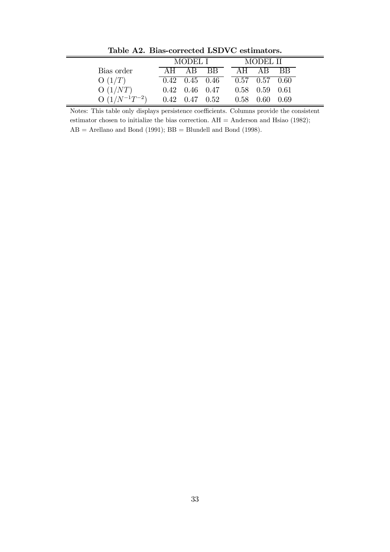|                     | MODEL I |                              |      |  | MODEL II |                      |     |  |  |  |  |
|---------------------|---------|------------------------------|------|--|----------|----------------------|-----|--|--|--|--|
| Bias order          |         | AH AR                        | - RR |  |          | AH AR                | RR. |  |  |  |  |
| O(1/T)              |         | $0.42 \quad 0.45 \quad 0.46$ |      |  |          | $0.57$ $0.57$ $0.60$ |     |  |  |  |  |
| O(1/NT)             |         | $0.42 \quad 0.46 \quad 0.47$ |      |  |          | $0.58$ $0.59$ $0.61$ |     |  |  |  |  |
| $O(1/N^{-1}T^{-2})$ |         | $0.42 \quad 0.47 \quad 0.52$ |      |  |          | $0.58$ 0.60 0.69     |     |  |  |  |  |

Table A2. Bias-corrected LSDVC estimators.

Notes: This table only displays persistence coefficients. Columns provide the consistent estimator chosen to initialize the bias correction.  $AH =$  Anderson and Hsiao (1982);  $AB =$  Arellano and Bond (1991);  $BB =$  Blundell and Bond (1998).